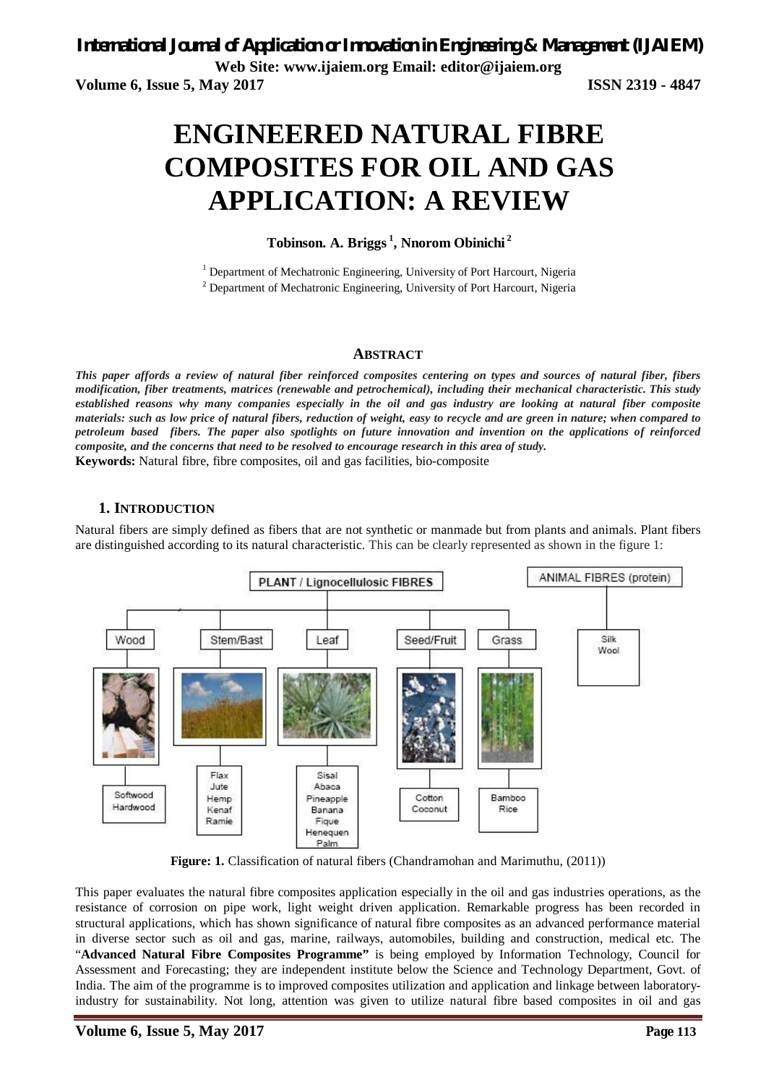# **ENGINEERED NATURAL FIBRE COMPOSITES FOR OIL AND GAS APPLICATION: A REVIEW**

# **Tobinson. A. Briggs <sup>1</sup> , Nnorom Obinichi <sup>2</sup>**

<sup>1</sup> Department of Mechatronic Engineering, University of Port Harcourt, Nigeria

<sup>2</sup> Department of Mechatronic Engineering, University of Port Harcourt, Nigeria

### **ABSTRACT**

*This paper affords a review of natural fiber reinforced composites centering on types and sources of natural fiber, fibers modification, fiber treatments, matrices (renewable and petrochemical), including their mechanical characteristic. This study established reasons why many companies especially in the oil and gas industry are looking at natural fiber composite materials: such as low price of natural fibers, reduction of weight, easy to recycle and are green in nature; when compared to petroleum based fibers. The paper also spotlights on future innovation and invention on the applications of reinforced composite, and the concerns that need to be resolved to encourage research in this area of study.* **Keywords:** Natural fibre, fibre composites, oil and gas facilities, bio-composite

## **1. INTRODUCTION**

Natural fibers are simply defined as fibers that are not synthetic or manmade but from plants and animals. Plant fibers are distinguished according to its natural characteristic. This can be clearly represented as shown in the figure 1:



**Figure: 1.** Classification of natural fibers (Chandramohan and Marimuthu, (2011))

This paper evaluates the natural fibre composites application especially in the oil and gas industries operations, as the resistance of corrosion on pipe work, light weight driven application. Remarkable progress has been recorded in structural applications, which has shown significance of natural fibre composites as an advanced performance material in diverse sector such as oil and gas, marine, railways, automobiles, building and construction, medical etc. The "**Advanced Natural Fibre Composites Programme"** is being employed by Information Technology, Council for Assessment and Forecasting; they are independent institute below the Science and Technology Department, Govt. of India. The aim of the programme is to improved composites utilization and application and linkage between laboratoryindustry for sustainability. Not long, attention was given to utilize natural fibre based composites in oil and gas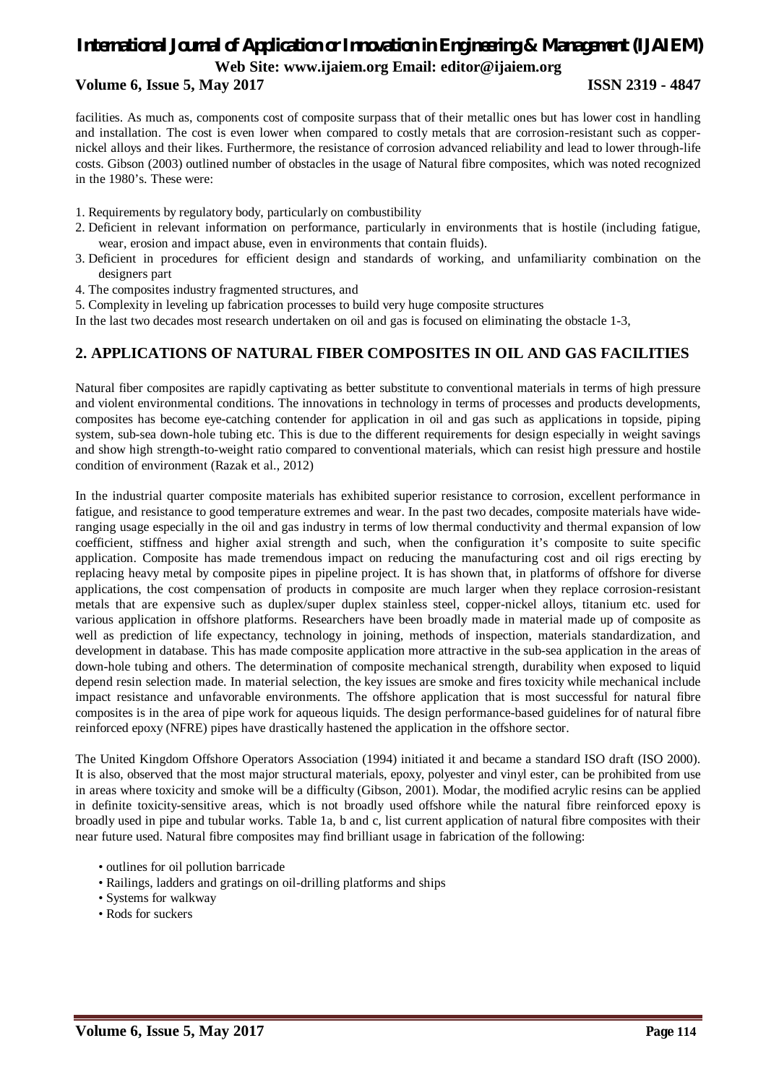# **Volume 6, Issue 5, May 2017 ISSN 2319 - 4847**

facilities. As much as, components cost of composite surpass that of their metallic ones but has lower cost in handling and installation. The cost is even lower when compared to costly metals that are corrosion-resistant such as coppernickel alloys and their likes. Furthermore, the resistance of corrosion advanced reliability and lead to lower through-life costs. Gibson (2003) outlined number of obstacles in the usage of Natural fibre composites, which was noted recognized in the 1980's. These were:

- 1. Requirements by regulatory body, particularly on combustibility
- 2. Deficient in relevant information on performance, particularly in environments that is hostile (including fatigue, wear, erosion and impact abuse, even in environments that contain fluids).
- 3. Deficient in procedures for efficient design and standards of working, and unfamiliarity combination on the designers part
- 4. The composites industry fragmented structures, and
- 5. Complexity in leveling up fabrication processes to build very huge composite structures
- In the last two decades most research undertaken on oil and gas is focused on eliminating the obstacle 1-3,

# **2. APPLICATIONS OF NATURAL FIBER COMPOSITES IN OIL AND GAS FACILITIES**

Natural fiber composites are rapidly captivating as better substitute to conventional materials in terms of high pressure and violent environmental conditions. The innovations in technology in terms of processes and products developments, composites has become eye-catching contender for application in oil and gas such as applications in topside, piping system, sub-sea down-hole tubing etc. This is due to the different requirements for design especially in weight savings and show high strength-to-weight ratio compared to conventional materials, which can resist high pressure and hostile condition of environment (Razak et al., 2012)

In the industrial quarter composite materials has exhibited superior resistance to corrosion, excellent performance in fatigue, and resistance to good temperature extremes and wear. In the past two decades, composite materials have wideranging usage especially in the oil and gas industry in terms of low thermal conductivity and thermal expansion of low coefficient, stiffness and higher axial strength and such, when the configuration it's composite to suite specific application. Composite has made tremendous impact on reducing the manufacturing cost and oil rigs erecting by replacing heavy metal by composite pipes in pipeline project. It is has shown that, in platforms of offshore for diverse applications, the cost compensation of products in composite are much larger when they replace corrosion-resistant metals that are expensive such as duplex/super duplex stainless steel, copper-nickel alloys, titanium etc. used for various application in offshore platforms. Researchers have been broadly made in material made up of composite as well as prediction of life expectancy, technology in joining, methods of inspection, materials standardization, and development in database. This has made composite application more attractive in the sub-sea application in the areas of down-hole tubing and others. The determination of composite mechanical strength, durability when exposed to liquid depend resin selection made. In material selection, the key issues are smoke and fires toxicity while mechanical include impact resistance and unfavorable environments. The offshore application that is most successful for natural fibre composites is in the area of pipe work for aqueous liquids. The design performance-based guidelines for of natural fibre reinforced epoxy (NFRE) pipes have drastically hastened the application in the offshore sector.

The United Kingdom Offshore Operators Association (1994) initiated it and became a standard ISO draft (ISO 2000). It is also, observed that the most major structural materials, epoxy, polyester and vinyl ester, can be prohibited from use in areas where toxicity and smoke will be a difficulty (Gibson, 2001). Modar, the modified acrylic resins can be applied in definite toxicity-sensitive areas, which is not broadly used offshore while the natural fibre reinforced epoxy is broadly used in pipe and tubular works. Table 1a, b and c, list current application of natural fibre composites with their near future used. Natural fibre composites may find brilliant usage in fabrication of the following:

- outlines for oil pollution barricade
- Railings, ladders and gratings on oil-drilling platforms and ships
- Systems for walkway
- Rods for suckers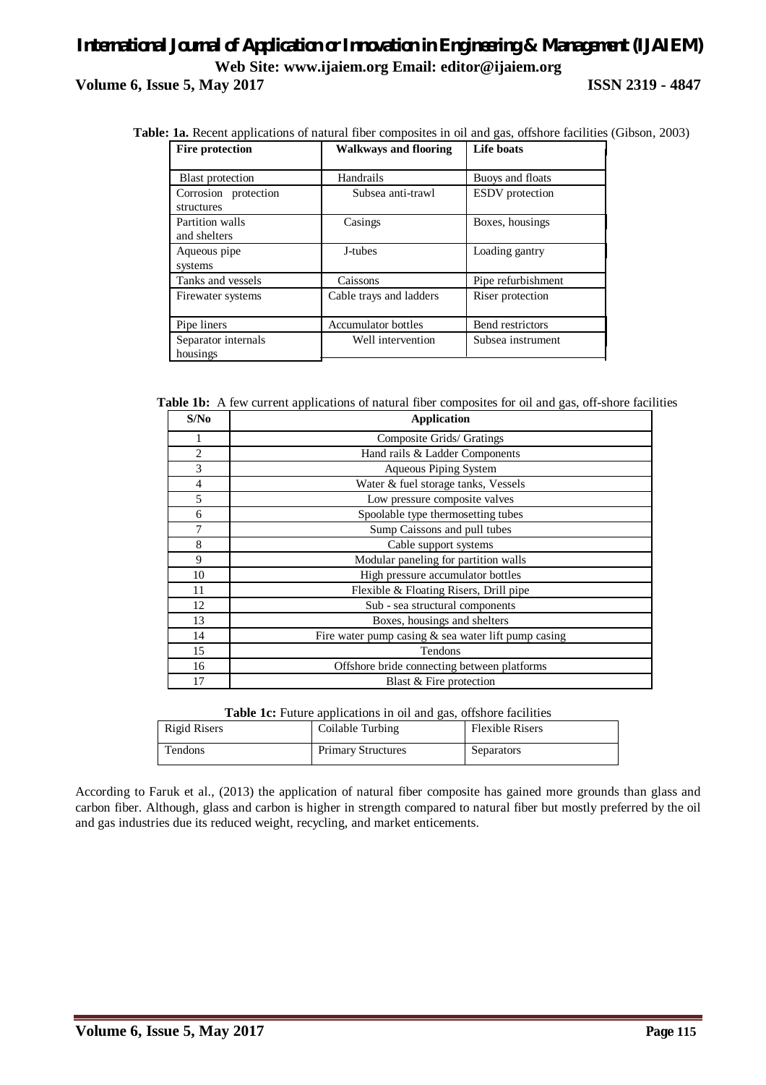# *International Journal of Application or Innovation in Engineering & Management (IJAIEM)* **Web Site: www.ijaiem.org Email: editor@ijaiem.org Volume 6, Issue 5, May 2017 ISSN 2319 - 4847**

 **Table: 1a.** Recent applications of natural fiber composites in oil and gas, offshore facilities (Gibson, 2003)

| <b>Fire protection</b>             | <b>Walkways and flooring</b> | Life boats             |  |
|------------------------------------|------------------------------|------------------------|--|
| <b>Blast</b> protection            | Handrails                    | Buoys and floats       |  |
| Corrosion protection<br>structures | Subsea anti-trawl            | <b>ESDV</b> protection |  |
| Partition walls<br>and shelters    | Casings                      | Boxes, housings        |  |
| Aqueous pipe<br>systems            | J-tubes                      | Loading gantry         |  |
| Tanks and vessels                  | Caissons                     | Pipe refurbishment     |  |
| Firewater systems                  | Cable trays and ladders      | Riser protection       |  |
| Pipe liners                        | <b>Accumulator bottles</b>   | Bend restrictors       |  |
| Separator internals<br>housings    | Well intervention            | Subsea instrument      |  |

 **Table 1b:** A few current applications of natural fiber composites for oil and gas, off-shore facilities

| S/No | <b>Application</b>                                    |
|------|-------------------------------------------------------|
|      | Composite Grids/ Gratings                             |
| 2    | Hand rails & Ladder Components                        |
| 3    | <b>Aqueous Piping System</b>                          |
| 4    | Water & fuel storage tanks, Vessels                   |
| 5    | Low pressure composite valves                         |
| 6    | Spoolable type thermosetting tubes                    |
|      | Sump Caissons and pull tubes                          |
| 8    | Cable support systems                                 |
| 9    | Modular paneling for partition walls                  |
| 10   | High pressure accumulator bottles                     |
| 11   | Flexible & Floating Risers, Drill pipe                |
| 12   | Sub - sea structural components                       |
| 13   | Boxes, housings and shelters                          |
| 14   | Fire water pump casing $&$ sea water lift pump casing |
| 15   | Tendons                                               |
| 16   | Offshore bride connecting between platforms           |
| 17   | Blast & Fire protection                               |

**Table 1c:** Future applications in oil and gas, offshore facilities

| Rigid Risers | Coilable Turbing          | <b>Flexible Risers</b> |
|--------------|---------------------------|------------------------|
| Tendons      | <b>Primary Structures</b> | Separators             |

According to Faruk et al., (2013) the application of natural fiber composite has gained more grounds than glass and carbon fiber. Although, glass and carbon is higher in strength compared to natural fiber but mostly preferred by the oil and gas industries due its reduced weight, recycling, and market enticements.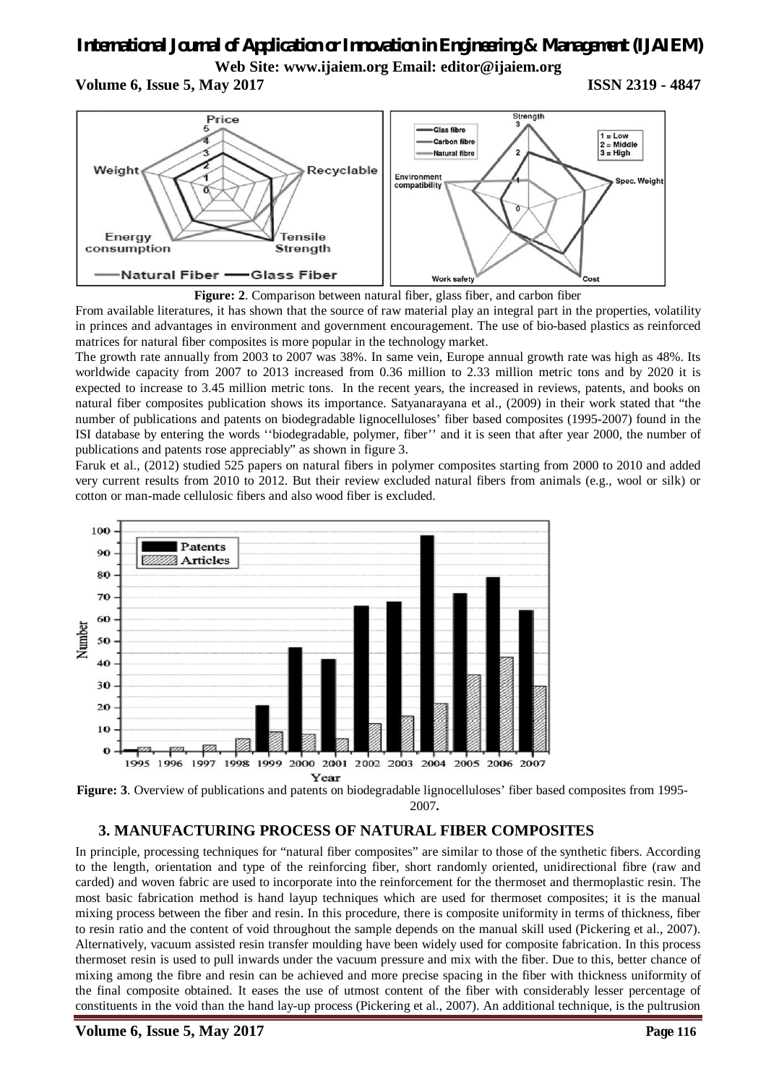# *International Journal of Application or Innovation in Engineering & Management (IJAIEM)*

**Web Site: www.ijaiem.org Email: editor@ijaiem.org**

**Volume 6, Issue 5, May 2017 ISSN 2319 - 4847** 





From available literatures, it has shown that the source of raw material play an integral part in the properties, volatility in princes and advantages in environment and government encouragement. The use of bio-based plastics as reinforced matrices for natural fiber composites is more popular in the technology market.

The growth rate annually from 2003 to 2007 was 38%. In same vein, Europe annual growth rate was high as 48%. Its worldwide capacity from 2007 to 2013 increased from 0.36 million to 2.33 million metric tons and by 2020 it is expected to increase to 3.45 million metric tons. In the recent years, the increased in reviews, patents, and books on natural fiber composites publication shows its importance. Satyanarayana et al., (2009) in their work stated that "the number of publications and patents on biodegradable lignocelluloses' fiber based composites (1995-2007) found in the ISI database by entering the words ''biodegradable, polymer, fiber'' and it is seen that after year 2000, the number of publications and patents rose appreciably" as shown in figure 3.

Faruk et al., (2012) studied 525 papers on natural fibers in polymer composites starting from 2000 to 2010 and added very current results from 2010 to 2012. But their review excluded natural fibers from animals (e.g., wool or silk) or cotton or man-made cellulosic fibers and also wood fiber is excluded.



2007**.**

# **3. MANUFACTURING PROCESS OF NATURAL FIBER COMPOSITES**

In principle, processing techniques for "natural fiber composites" are similar to those of the synthetic fibers. According to the length, orientation and type of the reinforcing fiber, short randomly oriented, unidirectional fibre (raw and carded) and woven fabric are used to incorporate into the reinforcement for the thermoset and thermoplastic resin. The most basic fabrication method is hand layup techniques which are used for thermoset composites; it is the manual mixing process between the fiber and resin. In this procedure, there is composite uniformity in terms of thickness, fiber to resin ratio and the content of void throughout the sample depends on the manual skill used (Pickering et al., 2007). Alternatively, vacuum assisted resin transfer moulding have been widely used for composite fabrication. In this process thermoset resin is used to pull inwards under the vacuum pressure and mix with the fiber. Due to this, better chance of mixing among the fibre and resin can be achieved and more precise spacing in the fiber with thickness uniformity of the final composite obtained. It eases the use of utmost content of the fiber with considerably lesser percentage of constituents in the void than the hand lay-up process (Pickering et al., 2007). An additional technique, is the pultrusion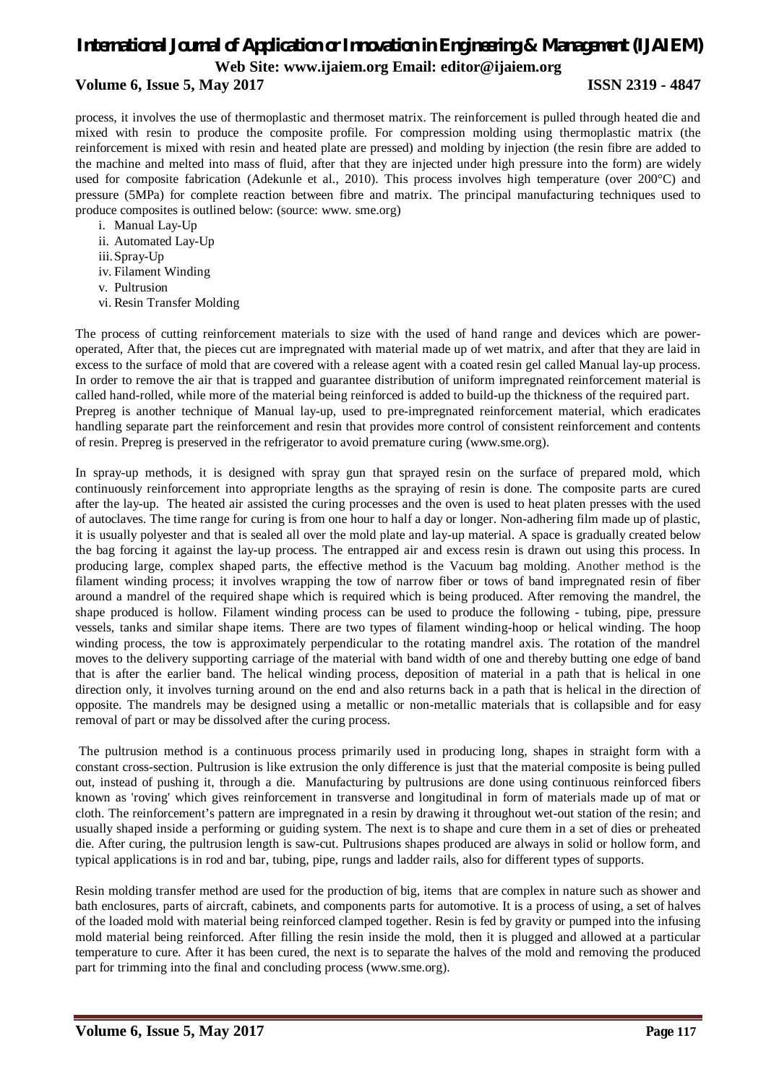# **Volume 6, Issue 5, May 2017 ISSN 2319 - 4847**

process, it involves the use of thermoplastic and thermoset matrix. The reinforcement is pulled through heated die and mixed with resin to produce the composite profile. For compression molding using thermoplastic matrix (the reinforcement is mixed with resin and heated plate are pressed) and molding by injection (the resin fibre are added to the machine and melted into mass of fluid, after that they are injected under high pressure into the form) are widely used for composite fabrication (Adekunle et al., 2010). This process involves high temperature (over 200°C) and pressure (5MPa) for complete reaction between fibre and matrix. The principal manufacturing techniques used to produce composites is outlined below: (source: www. sme.org)

- i. Manual Lay-Up
- ii. Automated Lay-Up
- iii.Spray-Up
- iv. Filament Winding
- v. Pultrusion
- vi. Resin Transfer Molding

The process of cutting reinforcement materials to size with the used of hand range and devices which are poweroperated, After that, the pieces cut are impregnated with material made up of wet matrix, and after that they are laid in excess to the surface of mold that are covered with a release agent with a coated resin gel called Manual lay-up process. In order to remove the air that is trapped and guarantee distribution of uniform impregnated reinforcement material is called hand-rolled, while more of the material being reinforced is added to build-up the thickness of the required part. Prepreg is another technique of Manual lay-up, used to pre-impregnated reinforcement material, which eradicates handling separate part the reinforcement and resin that provides more control of consistent reinforcement and contents of resin. Prepreg is preserved in the refrigerator to avoid premature curing (www.sme.org).

In spray-up methods, it is designed with spray gun that sprayed resin on the surface of prepared mold, which continuously reinforcement into appropriate lengths as the spraying of resin is done. The composite parts are cured after the lay-up. The heated air assisted the curing processes and the oven is used to heat platen presses with the used of autoclaves. The time range for curing is from one hour to half a day or longer. Non-adhering film made up of plastic, it is usually polyester and that is sealed all over the mold plate and lay-up material. A space is gradually created below the bag forcing it against the lay-up process. The entrapped air and excess resin is drawn out using this process. In producing large, complex shaped parts, the effective method is the Vacuum bag molding. Another method is the filament winding process; it involves wrapping the tow of narrow fiber or tows of band impregnated resin of fiber around a mandrel of the required shape which is required which is being produced. After removing the mandrel, the shape produced is hollow. Filament winding process can be used to produce the following - tubing, pipe, pressure vessels, tanks and similar shape items. There are two types of filament winding-hoop or helical winding. The hoop winding process, the tow is approximately perpendicular to the rotating mandrel axis. The rotation of the mandrel moves to the delivery supporting carriage of the material with band width of one and thereby butting one edge of band that is after the earlier band. The helical winding process, deposition of material in a path that is helical in one direction only, it involves turning around on the end and also returns back in a path that is helical in the direction of opposite. The mandrels may be designed using a metallic or non-metallic materials that is collapsible and for easy removal of part or may be dissolved after the curing process.

The pultrusion method is a continuous process primarily used in producing long, shapes in straight form with a constant cross-section. Pultrusion is like extrusion the only difference is just that the material composite is being pulled out, instead of pushing it, through a die. Manufacturing by pultrusions are done using continuous reinforced fibers known as 'roving' which gives reinforcement in transverse and longitudinal in form of materials made up of mat or cloth. The reinforcement's pattern are impregnated in a resin by drawing it throughout wet-out station of the resin; and usually shaped inside a performing or guiding system. The next is to shape and cure them in a set of dies or preheated die. After curing, the pultrusion length is saw-cut. Pultrusions shapes produced are always in solid or hollow form, and typical applications is in rod and bar, tubing, pipe, rungs and ladder rails, also for different types of supports.

Resin molding transfer method are used for the production of big, items that are complex in nature such as shower and bath enclosures, parts of aircraft, cabinets, and components parts for automotive. It is a process of using, a set of halves of the loaded mold with material being reinforced clamped together. Resin is fed by gravity or pumped into the infusing mold material being reinforced. After filling the resin inside the mold, then it is plugged and allowed at a particular temperature to cure. After it has been cured, the next is to separate the halves of the mold and removing the produced part for trimming into the final and concluding process (www.sme.org).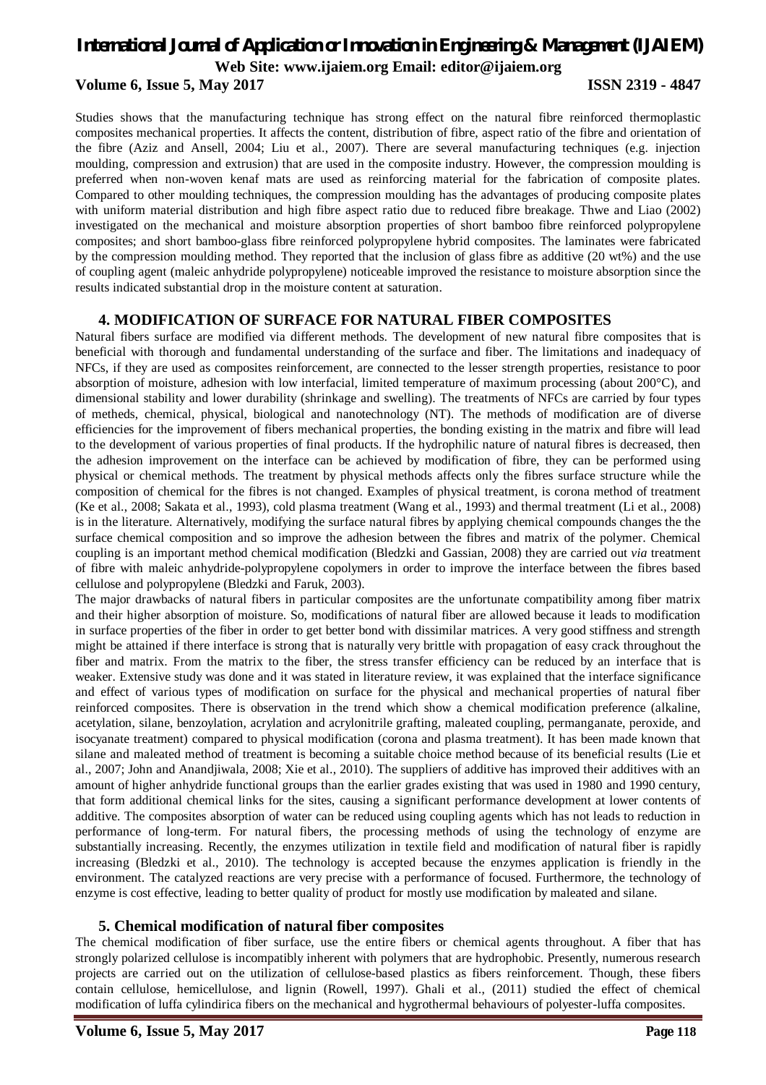# *International Journal of Application or Innovation in Engineering & Management (IJAIEM)* **Web Site: www.ijaiem.org Email: editor@ijaiem.org Volume 6, Issue 5, May 2017 ISSN 2319 - 4847**

Studies shows that the manufacturing technique has strong effect on the natural fibre reinforced thermoplastic composites mechanical properties. It affects the content, distribution of fibre, aspect ratio of the fibre and orientation of the fibre (Aziz and Ansell, 2004; Liu et al., 2007). There are several manufacturing techniques (e.g. injection moulding, compression and extrusion) that are used in the composite industry. However, the compression moulding is preferred when non-woven kenaf mats are used as reinforcing material for the fabrication of composite plates. Compared to other moulding techniques, the compression moulding has the advantages of producing composite plates with uniform material distribution and high fibre aspect ratio due to reduced fibre breakage. Thwe and Liao (2002) investigated on the mechanical and moisture absorption properties of short bamboo fibre reinforced polypropylene composites; and short bamboo-glass fibre reinforced polypropylene hybrid composites. The laminates were fabricated by the compression moulding method. They reported that the inclusion of glass fibre as additive (20 wt%) and the use of coupling agent (maleic anhydride polypropylene) noticeable improved the resistance to moisture absorption since the results indicated substantial drop in the moisture content at saturation.

## **4. MODIFICATION OF SURFACE FOR NATURAL FIBER COMPOSITES**

Natural fibers surface are modified via different methods. The development of new natural fibre composites that is beneficial with thorough and fundamental understanding of the surface and fiber. The limitations and inadequacy of NFCs, if they are used as composites reinforcement, are connected to the lesser strength properties, resistance to poor absorption of moisture, adhesion with low interfacial, limited temperature of maximum processing (about 200°C), and dimensional stability and lower durability (shrinkage and swelling). The treatments of NFCs are carried by four types of metheds, chemical, physical, biological and nanotechnology (NT). The methods of modification are of diverse efficiencies for the improvement of fibers mechanical properties, the bonding existing in the matrix and fibre will lead to the development of various properties of final products. If the hydrophilic nature of natural fibres is decreased, then the adhesion improvement on the interface can be achieved by modification of fibre, they can be performed using physical or chemical methods. The treatment by physical methods affects only the fibres surface structure while the composition of chemical for the fibres is not changed. Examples of physical treatment, is corona method of treatment (Ke et al., 2008; Sakata et al., 1993), cold plasma treatment (Wang et al., 1993) and thermal treatment (Li et al., 2008) is in the literature. Alternatively, modifying the surface natural fibres by applying chemical compounds changes the the surface chemical composition and so improve the adhesion between the fibres and matrix of the polymer. Chemical coupling is an important method chemical modification (Bledzki and Gassian, 2008) they are carried out *via* treatment of fibre with maleic anhydride-polypropylene copolymers in order to improve the interface between the fibres based cellulose and polypropylene (Bledzki and Faruk, 2003).

The major drawbacks of natural fibers in particular composites are the unfortunate compatibility among fiber matrix and their higher absorption of moisture. So, modifications of natural fiber are allowed because it leads to modification in surface properties of the fiber in order to get better bond with dissimilar matrices. A very good stiffness and strength might be attained if there interface is strong that is naturally very brittle with propagation of easy crack throughout the fiber and matrix. From the matrix to the fiber, the stress transfer efficiency can be reduced by an interface that is weaker. Extensive study was done and it was stated in literature review, it was explained that the interface significance and effect of various types of modification on surface for the physical and mechanical properties of natural fiber reinforced composites. There is observation in the trend which show a chemical modification preference (alkaline, acetylation, silane, benzoylation, acrylation and acrylonitrile grafting, maleated coupling, permanganate, peroxide, and isocyanate treatment) compared to physical modification (corona and plasma treatment). It has been made known that silane and maleated method of treatment is becoming a suitable choice method because of its beneficial results (Lie et al., 2007; John and Anandjiwala, 2008; Xie et al., 2010). The suppliers of additive has improved their additives with an amount of higher anhydride functional groups than the earlier grades existing that was used in 1980 and 1990 century, that form additional chemical links for the sites, causing a significant performance development at lower contents of additive. The composites absorption of water can be reduced using coupling agents which has not leads to reduction in performance of long-term. For natural fibers, the processing methods of using the technology of enzyme are substantially increasing. Recently, the enzymes utilization in textile field and modification of natural fiber is rapidly increasing (Bledzki et al., 2010). The technology is accepted because the enzymes application is friendly in the environment. The catalyzed reactions are very precise with a performance of focused. Furthermore, the technology of enzyme is cost effective, leading to better quality of product for mostly use modification by maleated and silane.

## **5. Chemical modification of natural fiber composites**

The chemical modification of fiber surface, use the entire fibers or chemical agents throughout. A fiber that has strongly polarized cellulose is incompatibly inherent with polymers that are hydrophobic. Presently, numerous research projects are carried out on the utilization of cellulose-based plastics as fibers reinforcement. Though, these fibers contain cellulose, hemicellulose, and lignin (Rowell, 1997). Ghali et al., (2011) studied the effect of chemical modification of luffa cylindirica fibers on the mechanical and hygrothermal behaviours of polyester-luffa composites.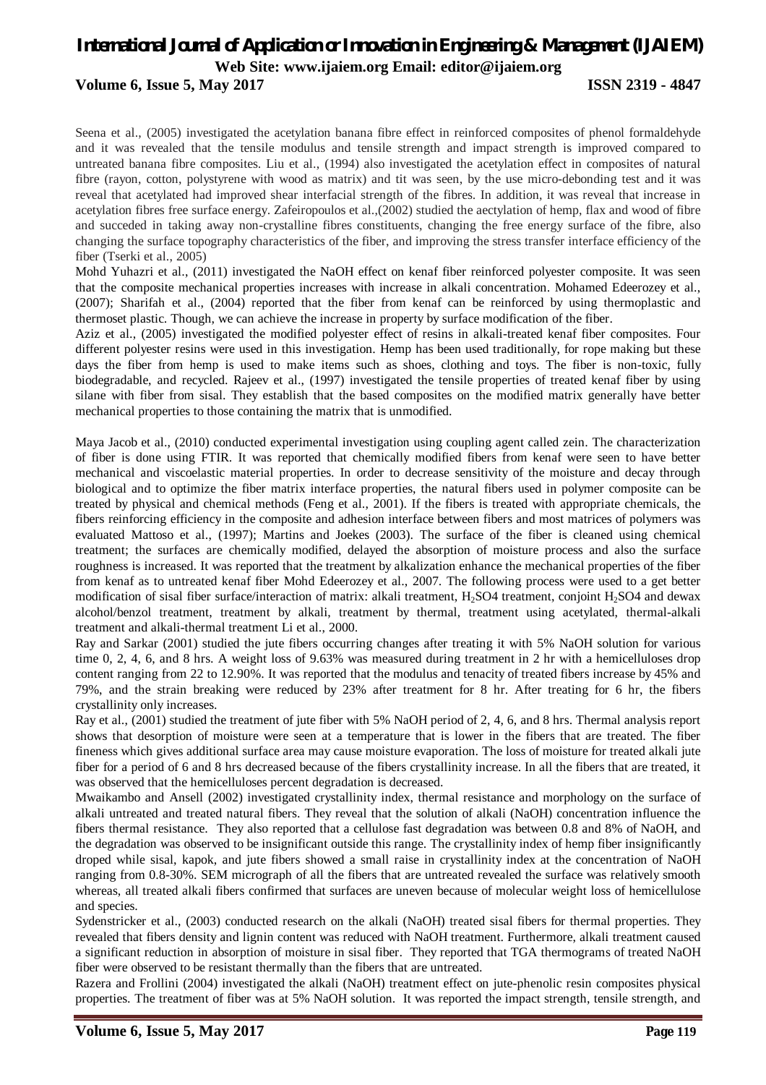# **Volume 6, Issue 5, May 2017 ISSN 2319 - 4847**

Seena et al., (2005) investigated the acetylation banana fibre effect in reinforced composites of phenol formaldehyde and it was revealed that the tensile modulus and tensile strength and impact strength is improved compared to untreated banana fibre composites. Liu et al., (1994) also investigated the acetylation effect in composites of natural fibre (rayon, cotton, polystyrene with wood as matrix) and tit was seen, by the use micro-debonding test and it was reveal that acetylated had improved shear interfacial strength of the fibres. In addition, it was reveal that increase in acetylation fibres free surface energy. Zafeiropoulos et al.,(2002) studied the aectylation of hemp, flax and wood of fibre and succeded in taking away non-crystalline fibres constituents, changing the free energy surface of the fibre, also changing the surface topography characteristics of the fiber, and improving the stress transfer interface efficiency of the fiber (Tserki et al., 2005)

Mohd Yuhazri et al., (2011) investigated the NaOH effect on kenaf fiber reinforced polyester composite. It was seen that the composite mechanical properties increases with increase in alkali concentration. Mohamed Edeerozey et al., (2007); Sharifah et al., (2004) reported that the fiber from kenaf can be reinforced by using thermoplastic and thermoset plastic. Though, we can achieve the increase in property by surface modification of the fiber.

Aziz et al., (2005) investigated the modified polyester effect of resins in alkali-treated kenaf fiber composites. Four different polyester resins were used in this investigation. Hemp has been used traditionally, for rope making but these days the fiber from hemp is used to make items such as shoes, clothing and toys. The fiber is non-toxic, fully biodegradable, and recycled. Rajeev et al., (1997) investigated the tensile properties of treated kenaf fiber by using silane with fiber from sisal. They establish that the based composites on the modified matrix generally have better mechanical properties to those containing the matrix that is unmodified.

Maya Jacob et al., (2010) conducted experimental investigation using coupling agent called zein. The characterization of fiber is done using FTIR. It was reported that chemically modified fibers from kenaf were seen to have better mechanical and viscoelastic material properties. In order to decrease sensitivity of the moisture and decay through biological and to optimize the fiber matrix interface properties, the natural fibers used in polymer composite can be treated by physical and chemical methods (Feng et al., 2001). If the fibers is treated with appropriate chemicals, the fibers reinforcing efficiency in the composite and adhesion interface between fibers and most matrices of polymers was evaluated Mattoso et al., (1997); Martins and Joekes (2003). The surface of the fiber is cleaned using chemical treatment; the surfaces are chemically modified, delayed the absorption of moisture process and also the surface roughness is increased. It was reported that the treatment by alkalization enhance the mechanical properties of the fiber from kenaf as to untreated kenaf fiber Mohd Edeerozey et al., 2007. The following process were used to a get better modification of sisal fiber surface/interaction of matrix: alkali treatment, H<sub>2</sub>SO4 treatment, conjoint H<sub>2</sub>SO4 and dewax alcohol/benzol treatment, treatment by alkali, treatment by thermal, treatment using acetylated, thermal-alkali treatment and alkali-thermal treatment Li et al., 2000.

Ray and Sarkar (2001) studied the jute fibers occurring changes after treating it with 5% NaOH solution for various time 0, 2, 4, 6, and 8 hrs. A weight loss of 9.63% was measured during treatment in 2 hr with a hemicelluloses drop content ranging from 22 to 12.90%. It was reported that the modulus and tenacity of treated fibers increase by 45% and 79%, and the strain breaking were reduced by 23% after treatment for 8 hr. After treating for 6 hr, the fibers crystallinity only increases.

Ray et al., (2001) studied the treatment of jute fiber with 5% NaOH period of 2, 4, 6, and 8 hrs. Thermal analysis report shows that desorption of moisture were seen at a temperature that is lower in the fibers that are treated. The fiber fineness which gives additional surface area may cause moisture evaporation. The loss of moisture for treated alkali jute fiber for a period of 6 and 8 hrs decreased because of the fibers crystallinity increase. In all the fibers that are treated, it was observed that the hemicelluloses percent degradation is decreased.

Mwaikambo and Ansell (2002) investigated crystallinity index, thermal resistance and morphology on the surface of alkali untreated and treated natural fibers. They reveal that the solution of alkali (NaOH) concentration influence the fibers thermal resistance. They also reported that a cellulose fast degradation was between 0.8 and 8% of NaOH, and the degradation was observed to be insignificant outside this range. The crystallinity index of hemp fiber insignificantly droped while sisal, kapok, and jute fibers showed a small raise in crystallinity index at the concentration of NaOH ranging from 0.8-30%. SEM micrograph of all the fibers that are untreated revealed the surface was relatively smooth whereas, all treated alkali fibers confirmed that surfaces are uneven because of molecular weight loss of hemicellulose and species.

Sydenstricker et al., (2003) conducted research on the alkali (NaOH) treated sisal fibers for thermal properties. They revealed that fibers density and lignin content was reduced with NaOH treatment. Furthermore, alkali treatment caused a significant reduction in absorption of moisture in sisal fiber. They reported that TGA thermograms of treated NaOH fiber were observed to be resistant thermally than the fibers that are untreated.

Razera and Frollini (2004) investigated the alkali (NaOH) treatment effect on jute-phenolic resin composites physical properties. The treatment of fiber was at 5% NaOH solution. It was reported the impact strength, tensile strength, and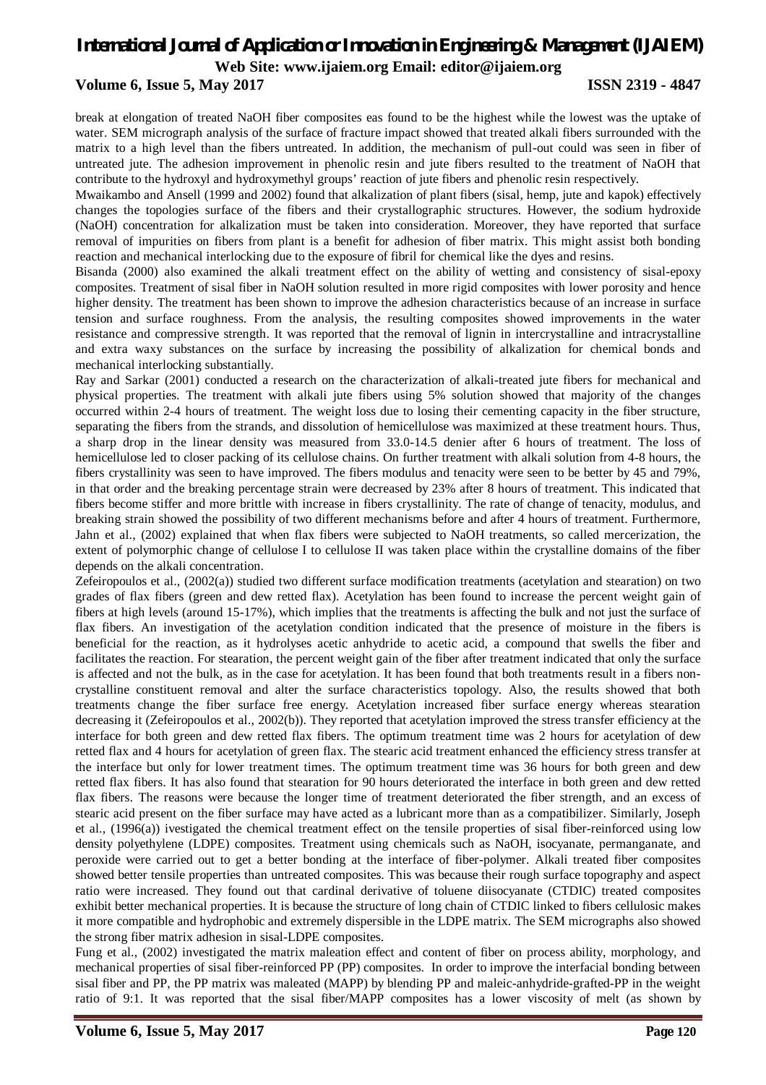# **Volume 6, Issue 5, May 2017 ISSN 2319 - 4847**

break at elongation of treated NaOH fiber composites eas found to be the highest while the lowest was the uptake of water. SEM micrograph analysis of the surface of fracture impact showed that treated alkali fibers surrounded with the matrix to a high level than the fibers untreated. In addition, the mechanism of pull-out could was seen in fiber of untreated jute. The adhesion improvement in phenolic resin and jute fibers resulted to the treatment of NaOH that contribute to the hydroxyl and hydroxymethyl groups' reaction of jute fibers and phenolic resin respectively.

Mwaikambo and Ansell (1999 and 2002) found that alkalization of plant fibers (sisal, hemp, jute and kapok) effectively changes the topologies surface of the fibers and their crystallographic structures. However, the sodium hydroxide (NaOH) concentration for alkalization must be taken into consideration. Moreover, they have reported that surface removal of impurities on fibers from plant is a benefit for adhesion of fiber matrix. This might assist both bonding reaction and mechanical interlocking due to the exposure of fibril for chemical like the dyes and resins.

Bisanda (2000) also examined the alkali treatment effect on the ability of wetting and consistency of sisal-epoxy composites. Treatment of sisal fiber in NaOH solution resulted in more rigid composites with lower porosity and hence higher density. The treatment has been shown to improve the adhesion characteristics because of an increase in surface tension and surface roughness. From the analysis, the resulting composites showed improvements in the water resistance and compressive strength. It was reported that the removal of lignin in intercrystalline and intracrystalline and extra waxy substances on the surface by increasing the possibility of alkalization for chemical bonds and mechanical interlocking substantially.

Ray and Sarkar (2001) conducted a research on the characterization of alkali-treated jute fibers for mechanical and physical properties. The treatment with alkali jute fibers using 5% solution showed that majority of the changes occurred within 2-4 hours of treatment. The weight loss due to losing their cementing capacity in the fiber structure, separating the fibers from the strands, and dissolution of hemicellulose was maximized at these treatment hours. Thus, a sharp drop in the linear density was measured from 33.0-14.5 denier after 6 hours of treatment. The loss of hemicellulose led to closer packing of its cellulose chains. On further treatment with alkali solution from 4-8 hours, the fibers crystallinity was seen to have improved. The fibers modulus and tenacity were seen to be better by 45 and 79%, in that order and the breaking percentage strain were decreased by 23% after 8 hours of treatment. This indicated that fibers become stiffer and more brittle with increase in fibers crystallinity. The rate of change of tenacity, modulus, and breaking strain showed the possibility of two different mechanisms before and after 4 hours of treatment. Furthermore, Jahn et al., (2002) explained that when flax fibers were subjected to NaOH treatments, so called mercerization, the extent of polymorphic change of cellulose I to cellulose II was taken place within the crystalline domains of the fiber depends on the alkali concentration.

Zefeiropoulos et al., (2002(a)) studied two different surface modification treatments (acetylation and stearation) on two grades of flax fibers (green and dew retted flax). Acetylation has been found to increase the percent weight gain of fibers at high levels (around 15-17%), which implies that the treatments is affecting the bulk and not just the surface of flax fibers. An investigation of the acetylation condition indicated that the presence of moisture in the fibers is beneficial for the reaction, as it hydrolyses acetic anhydride to acetic acid, a compound that swells the fiber and facilitates the reaction. For stearation, the percent weight gain of the fiber after treatment indicated that only the surface is affected and not the bulk, as in the case for acetylation. It has been found that both treatments result in a fibers noncrystalline constituent removal and alter the surface characteristics topology. Also, the results showed that both treatments change the fiber surface free energy. Acetylation increased fiber surface energy whereas stearation decreasing it (Zefeiropoulos et al., 2002(b)). They reported that acetylation improved the stress transfer efficiency at the interface for both green and dew retted flax fibers. The optimum treatment time was 2 hours for acetylation of dew retted flax and 4 hours for acetylation of green flax. The stearic acid treatment enhanced the efficiency stress transfer at the interface but only for lower treatment times. The optimum treatment time was 36 hours for both green and dew retted flax fibers. It has also found that stearation for 90 hours deteriorated the interface in both green and dew retted flax fibers. The reasons were because the longer time of treatment deteriorated the fiber strength, and an excess of stearic acid present on the fiber surface may have acted as a lubricant more than as a compatibilizer. Similarly, Joseph et al., (1996(a)) ivestigated the chemical treatment effect on the tensile properties of sisal fiber-reinforced using low density polyethylene (LDPE) composites. Treatment using chemicals such as NaOH, isocyanate, permanganate, and peroxide were carried out to get a better bonding at the interface of fiber-polymer. Alkali treated fiber composites showed better tensile properties than untreated composites. This was because their rough surface topography and aspect ratio were increased. They found out that cardinal derivative of toluene diisocyanate (CTDIC) treated composites exhibit better mechanical properties. It is because the structure of long chain of CTDIC linked to fibers cellulosic makes it more compatible and hydrophobic and extremely dispersible in the LDPE matrix. The SEM micrographs also showed the strong fiber matrix adhesion in sisal-LDPE composites.

Fung et al., (2002) investigated the matrix maleation effect and content of fiber on process ability, morphology, and mechanical properties of sisal fiber-reinforced PP (PP) composites. In order to improve the interfacial bonding between sisal fiber and PP, the PP matrix was maleated (MAPP) by blending PP and maleic-anhydride-grafted-PP in the weight ratio of 9:1. It was reported that the sisal fiber/MAPP composites has a lower viscosity of melt (as shown by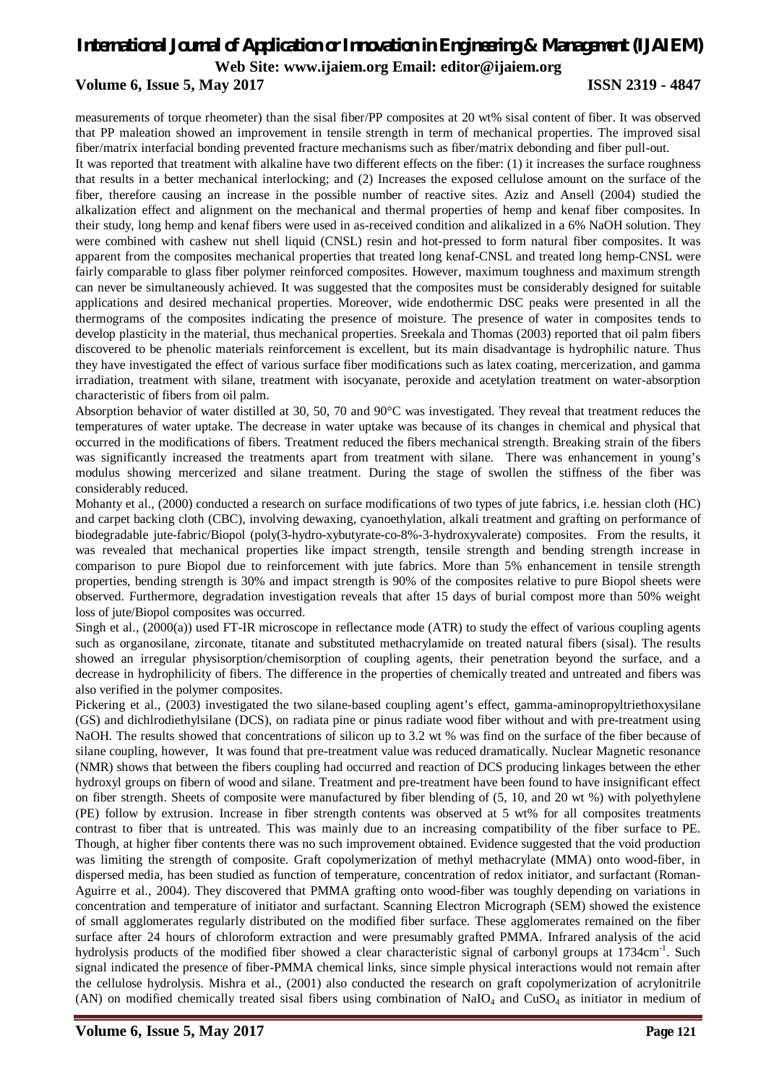# **Volume 6, Issue 5, May 2017 ISSN 2319 - 4847**

measurements of torque rheometer) than the sisal fiber/PP composites at 20 wt% sisal content of fiber. It was observed that PP maleation showed an improvement in tensile strength in term of mechanical properties. The improved sisal fiber/matrix interfacial bonding prevented fracture mechanisms such as fiber/matrix debonding and fiber pull-out.

It was reported that treatment with alkaline have two different effects on the fiber: (1) it increases the surface roughness that results in a better mechanical interlocking; and (2) Increases the exposed cellulose amount on the surface of the fiber, therefore causing an increase in the possible number of reactive sites. Aziz and Ansell (2004) studied the alkalization effect and alignment on the mechanical and thermal properties of hemp and kenaf fiber composites. In their study, long hemp and kenaf fibers were used in as-received condition and alikalized in a 6% NaOH solution. They were combined with cashew nut shell liquid (CNSL) resin and hot-pressed to form natural fiber composites. It was apparent from the composites mechanical properties that treated long kenaf-CNSL and treated long hemp-CNSL were fairly comparable to glass fiber polymer reinforced composites. However, maximum toughness and maximum strength can never be simultaneously achieved. It was suggested that the composites must be considerably designed for suitable applications and desired mechanical properties. Moreover, wide endothermic DSC peaks were presented in all the thermograms of the composites indicating the presence of moisture. The presence of water in composites tends to develop plasticity in the material, thus mechanical properties. Sreekala and Thomas (2003) reported that oil palm fibers discovered to be phenolic materials reinforcement is excellent, but its main disadvantage is hydrophilic nature. Thus they have investigated the effect of various surface fiber modifications such as latex coating, mercerization, and gamma irradiation, treatment with silane, treatment with isocyanate, peroxide and acetylation treatment on water-absorption characteristic of fibers from oil palm.

Absorption behavior of water distilled at 30, 50, 70 and 90°C was investigated. They reveal that treatment reduces the temperatures of water uptake. The decrease in water uptake was because of its changes in chemical and physical that occurred in the modifications of fibers. Treatment reduced the fibers mechanical strength. Breaking strain of the fibers was significantly increased the treatments apart from treatment with silane. There was enhancement in young's modulus showing mercerized and silane treatment. During the stage of swollen the stiffness of the fiber was considerably reduced.

Mohanty et al., (2000) conducted a research on surface modifications of two types of jute fabrics, i.e. hessian cloth (HC) and carpet backing cloth (CBC), involving dewaxing, cyanoethylation, alkali treatment and grafting on performance of biodegradable jute-fabric/Biopol (poly(3-hydro-xybutyrate-co-8%-3-hydroxyvalerate) composites. From the results, it was revealed that mechanical properties like impact strength, tensile strength and bending strength increase in comparison to pure Biopol due to reinforcement with jute fabrics. More than 5% enhancement in tensile strength properties, bending strength is 30% and impact strength is 90% of the composites relative to pure Biopol sheets were observed. Furthermore, degradation investigation reveals that after 15 days of burial compost more than 50% weight loss of jute/Biopol composites was occurred.

Singh et al., (2000(a)) used FT-IR microscope in reflectance mode (ATR) to study the effect of various coupling agents such as organosilane, zirconate, titanate and substituted methacrylamide on treated natural fibers (sisal). The results showed an irregular physisorption/chemisorption of coupling agents, their penetration beyond the surface, and a decrease in hydrophilicity of fibers. The difference in the properties of chemically treated and untreated and fibers was also verified in the polymer composites.

Pickering et al., (2003) investigated the two silane-based coupling agent's effect, gamma-aminopropyltriethoxysilane (GS) and dichlrodiethylsilane (DCS), on radiata pine or pinus radiate wood fiber without and with pre-treatment using NaOH. The results showed that concentrations of silicon up to 3.2 wt % was find on the surface of the fiber because of silane coupling, however, It was found that pre-treatment value was reduced dramatically. Nuclear Magnetic resonance (NMR) shows that between the fibers coupling had occurred and reaction of DCS producing linkages between the ether hydroxyl groups on fibern of wood and silane. Treatment and pre-treatment have been found to have insignificant effect on fiber strength. Sheets of composite were manufactured by fiber blending of (5, 10, and 20 wt %) with polyethylene (PE) follow by extrusion. Increase in fiber strength contents was observed at 5 wt% for all composites treatments contrast to fiber that is untreated. This was mainly due to an increasing compatibility of the fiber surface to PE. Though, at higher fiber contents there was no such improvement obtained. Evidence suggested that the void production was limiting the strength of composite. Graft copolymerization of methyl methacrylate (MMA) onto wood-fiber, in dispersed media, has been studied as function of temperature, concentration of redox initiator, and surfactant (Roman-Aguirre et al., 2004). They discovered that PMMA grafting onto wood-fiber was toughly depending on variations in concentration and temperature of initiator and surfactant. Scanning Electron Micrograph (SEM) showed the existence of small agglomerates regularly distributed on the modified fiber surface. These agglomerates remained on the fiber surface after 24 hours of chloroform extraction and were presumably grafted PMMA. Infrared analysis of the acid hydrolysis products of the modified fiber showed a clear characteristic signal of carbonyl groups at 1734cm<sup>-1</sup>. Such signal indicated the presence of fiber-PMMA chemical links, since simple physical interactions would not remain after the cellulose hydrolysis. Mishra et al., (2001) also conducted the research on graft copolymerization of acrylonitrile (AN) on modified chemically treated sisal fibers using combination of NaIO<sub>4</sub> and CuSO<sub>4</sub> as initiator in medium of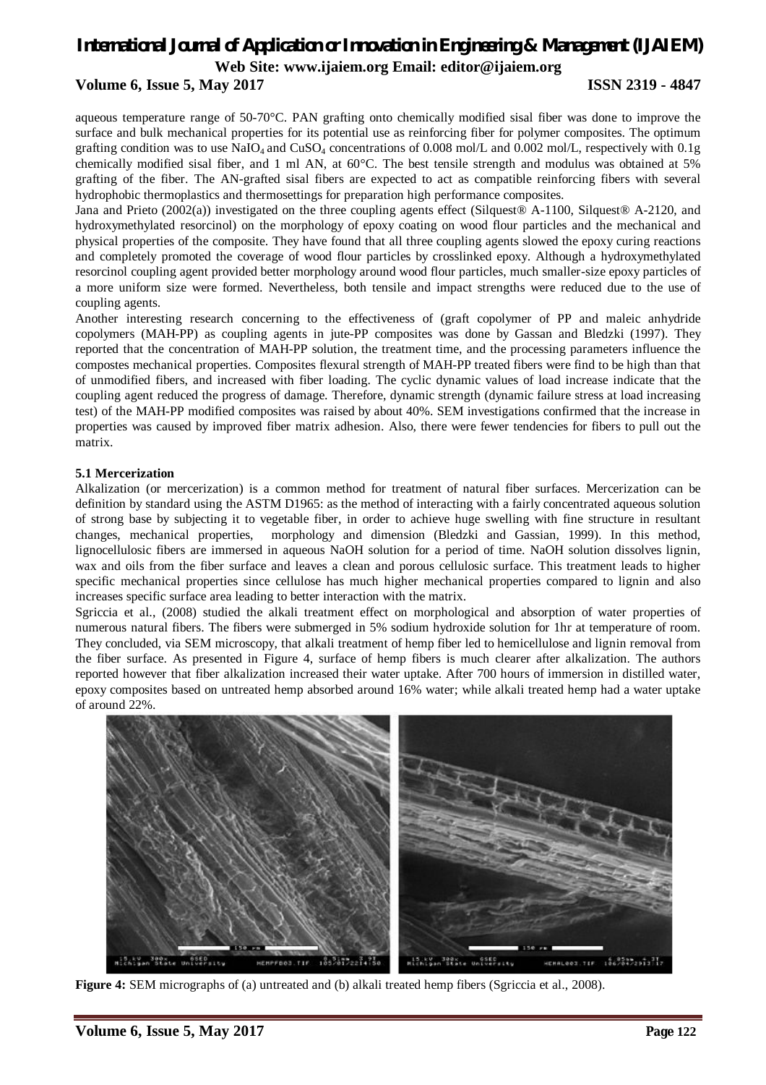## **Volume 6, Issue 5, May 2017 ISSN 2319 - 4847**

aqueous temperature range of 50-70°C. PAN grafting onto chemically modified sisal fiber was done to improve the surface and bulk mechanical properties for its potential use as reinforcing fiber for polymer composites. The optimum grafting condition was to use  $NaIO<sub>4</sub>$  and  $CuSO<sub>4</sub>$  concentrations of 0.008 mol/L and 0.002 mol/L, respectively with 0.1g chemically modified sisal fiber, and 1 ml AN, at 60°C. The best tensile strength and modulus was obtained at 5% grafting of the fiber. The AN-grafted sisal fibers are expected to act as compatible reinforcing fibers with several hydrophobic thermoplastics and thermosettings for preparation high performance composites.

Jana and Prieto (2002(a)) investigated on the three coupling agents effect (Silquest® A-1100, Silquest® A-2120, and hydroxymethylated resorcinol) on the morphology of epoxy coating on wood flour particles and the mechanical and physical properties of the composite. They have found that all three coupling agents slowed the epoxy curing reactions and completely promoted the coverage of wood flour particles by crosslinked epoxy. Although a hydroxymethylated resorcinol coupling agent provided better morphology around wood flour particles, much smaller-size epoxy particles of a more uniform size were formed. Nevertheless, both tensile and impact strengths were reduced due to the use of coupling agents.

Another interesting research concerning to the effectiveness of (graft copolymer of PP and maleic anhydride copolymers (MAH-PP) as coupling agents in jute-PP composites was done by Gassan and Bledzki (1997). They reported that the concentration of MAH-PP solution, the treatment time, and the processing parameters influence the compostes mechanical properties. Composites flexural strength of MAH-PP treated fibers were find to be high than that of unmodified fibers, and increased with fiber loading. The cyclic dynamic values of load increase indicate that the coupling agent reduced the progress of damage. Therefore, dynamic strength (dynamic failure stress at load increasing test) of the MAH-PP modified composites was raised by about 40%. SEM investigations confirmed that the increase in properties was caused by improved fiber matrix adhesion. Also, there were fewer tendencies for fibers to pull out the matrix.

### **5.1 Mercerization**

Alkalization (or mercerization) is a common method for treatment of natural fiber surfaces. Mercerization can be definition by standard using the ASTM D1965: as the method of interacting with a fairly concentrated aqueous solution of strong base by subjecting it to vegetable fiber, in order to achieve huge swelling with fine structure in resultant changes, mechanical properties, morphology and dimension (Bledzki and Gassian, 1999). In this method, lignocellulosic fibers are immersed in aqueous NaOH solution for a period of time. NaOH solution dissolves lignin, wax and oils from the fiber surface and leaves a clean and porous cellulosic surface. This treatment leads to higher specific mechanical properties since cellulose has much higher mechanical properties compared to lignin and also increases specific surface area leading to better interaction with the matrix.

Sgriccia et al., (2008) studied the alkali treatment effect on morphological and absorption of water properties of numerous natural fibers. The fibers were submerged in 5% sodium hydroxide solution for 1hr at temperature of room. They concluded, via SEM microscopy, that alkali treatment of hemp fiber led to hemicellulose and lignin removal from the fiber surface. As presented in Figure 4, surface of hemp fibers is much clearer after alkalization. The authors reported however that fiber alkalization increased their water uptake. After 700 hours of immersion in distilled water, epoxy composites based on untreated hemp absorbed around 16% water; while alkali treated hemp had a water uptake of around 22%.



**Figure 4:** SEM micrographs of (a) untreated and (b) alkali treated hemp fibers (Sgriccia et al., 2008).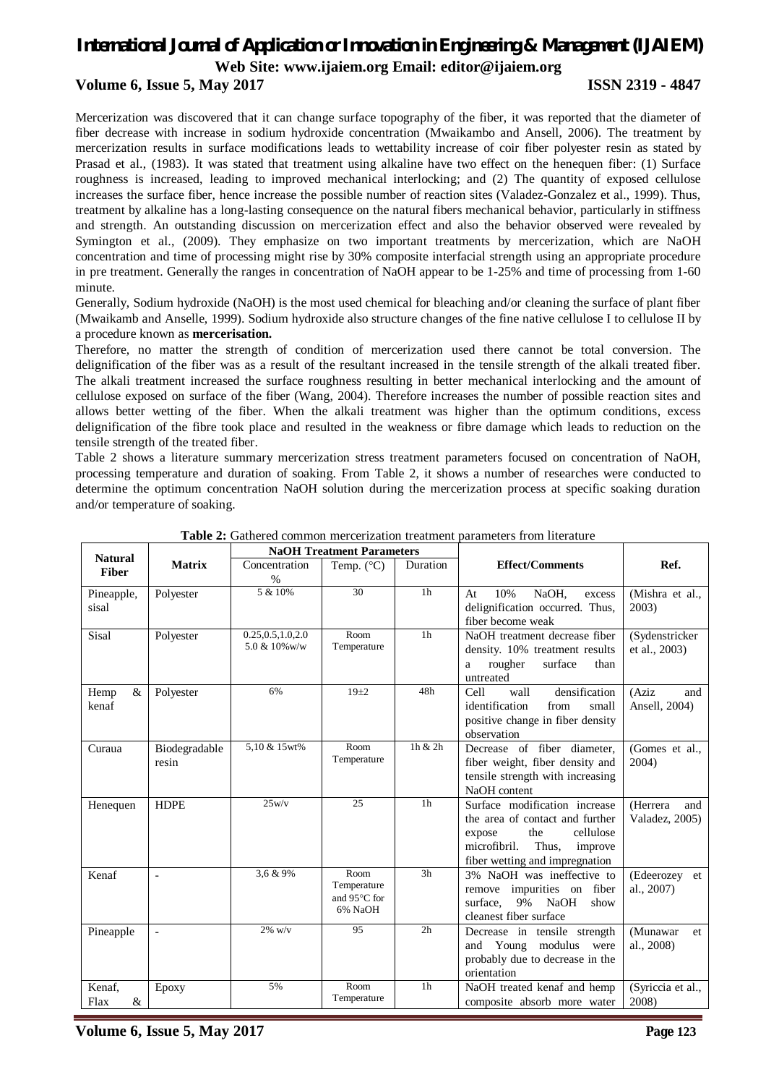# **Volume 6, Issue 5, May 2017 ISSN 2319 - 4847**

Mercerization was discovered that it can change surface topography of the fiber, it was reported that the diameter of fiber decrease with increase in sodium hydroxide concentration (Mwaikambo and Ansell, 2006). The treatment by mercerization results in surface modifications leads to wettability increase of coir fiber polyester resin as stated by Prasad et al., (1983). It was stated that treatment using alkaline have two effect on the henequen fiber: (1) Surface roughness is increased, leading to improved mechanical interlocking; and (2) The quantity of exposed cellulose increases the surface fiber, hence increase the possible number of reaction sites (Valadez-Gonzalez et al., 1999). Thus, treatment by alkaline has a long-lasting consequence on the natural fibers mechanical behavior, particularly in stiffness and strength. An outstanding discussion on mercerization effect and also the behavior observed were revealed by Symington et al., (2009). They emphasize on two important treatments by mercerization, which are NaOH concentration and time of processing might rise by 30% composite interfacial strength using an appropriate procedure in pre treatment. Generally the ranges in concentration of NaOH appear to be 1-25% and time of processing from 1-60 minute.

Generally, Sodium hydroxide (NaOH) is the most used chemical for bleaching and/or cleaning the surface of plant fiber (Mwaikamb and Anselle, 1999). Sodium hydroxide also structure changes of the fine native cellulose I to cellulose II by a procedure known as **mercerisation.**

Therefore, no matter the strength of condition of mercerization used there cannot be total conversion. The delignification of the fiber was as a result of the resultant increased in the tensile strength of the alkali treated fiber. The alkali treatment increased the surface roughness resulting in better mechanical interlocking and the amount of cellulose exposed on surface of the fiber (Wang, 2004). Therefore increases the number of possible reaction sites and allows better wetting of the fiber. When the alkali treatment was higher than the optimum conditions, excess delignification of the fibre took place and resulted in the weakness or fibre damage which leads to reduction on the tensile strength of the treated fiber.

Table 2 shows a literature summary mercerization stress treatment parameters focused on concentration of NaOH, processing temperature and duration of soaking. From Table 2, it shows a number of researches were conducted to determine the optimum concentration NaOH solution during the mercerization process at specific soaking duration and/or temperature of soaking.

| <b>Natural</b>        |                          |                                      | <b>NaOH Treatment Parameters</b>               |                 |                                                                                                                                                                      |                                   |
|-----------------------|--------------------------|--------------------------------------|------------------------------------------------|-----------------|----------------------------------------------------------------------------------------------------------------------------------------------------------------------|-----------------------------------|
| <b>Fiber</b>          | <b>Matrix</b>            | Concentration<br>$\%$                | Temp. $(^{\circ}C)$                            | <b>Duration</b> | <b>Effect/Comments</b>                                                                                                                                               | Ref.                              |
| Pineapple,<br>sisal   | Polyester                | 5 & 10%                              | 30                                             | 1 <sub>h</sub>  | 10%<br>NaOH,<br>At<br>excess<br>delignification occurred. Thus,<br>fiber become weak                                                                                 | (Mishra et al.,<br>2003)          |
| <b>Sisal</b>          | Polyester                | 0.25, 0.5, 1.0, 2.0<br>5.0 & 10% w/w | Room<br>Temperature                            | 1 <sub>h</sub>  | NaOH treatment decrease fiber<br>density. 10% treatment results<br>surface<br>rougher<br>than<br>a<br>untreated                                                      | (Sydenstricker<br>et al., 2003)   |
| $\&$<br>Hemp<br>kenaf | Polyester                | 6%                                   | $19 + 2$                                       | 48h             | densification<br>wall<br>Cell<br>identification<br>from<br>small<br>positive change in fiber density<br>observation                                                  | (Aziz)<br>and<br>Ansell, 2004)    |
| Curaua                | Biodegradable<br>resin   | 5,10 & 15wt%                         | Room<br>Temperature                            | 1h & 2h         | Decrease of fiber diameter,<br>fiber weight, fiber density and<br>tensile strength with increasing<br>NaOH content                                                   | (Gomes et al.,<br>2004            |
| Henequen              | <b>HDPE</b>              | 25w/v                                | 25                                             | 1 <sub>h</sub>  | Surface modification increase<br>the area of contact and further<br>the<br>cellulose<br>expose<br>microfibril.<br>Thus,<br>improve<br>fiber wetting and impregnation | (Herrera<br>and<br>Valadez, 2005) |
| Kenaf                 | $\overline{a}$           | 3,6 & 9%                             | Room<br>Temperature<br>and 95°C for<br>6% NaOH | 3 <sub>h</sub>  | 3% NaOH was ineffective to<br>remove impurities on fiber<br>9%<br><b>NaOH</b><br>surface.<br>show<br>cleanest fiber surface                                          | (Edeerozey et<br>al., 2007)       |
| Pineapple             | $\overline{\phantom{0}}$ | $2\%$ w/v                            | 95                                             | 2 <sub>h</sub>  | Decrease in tensile strength<br>Young modulus<br>and<br>were<br>probably due to decrease in the<br>orientation                                                       | (Munawar<br>et.<br>al., 2008)     |
| Kenaf,<br>&<br>Flax   | Epoxy                    | 5%                                   | Room<br>Temperature                            | 1 <sub>h</sub>  | NaOH treated kenaf and hemp<br>composite absorb more water                                                                                                           | (Syriccia et al.,<br>2008)        |

| <b>Table 2:</b> Gathered common mercerization treatment parameters from literature |  |  |  |
|------------------------------------------------------------------------------------|--|--|--|
|------------------------------------------------------------------------------------|--|--|--|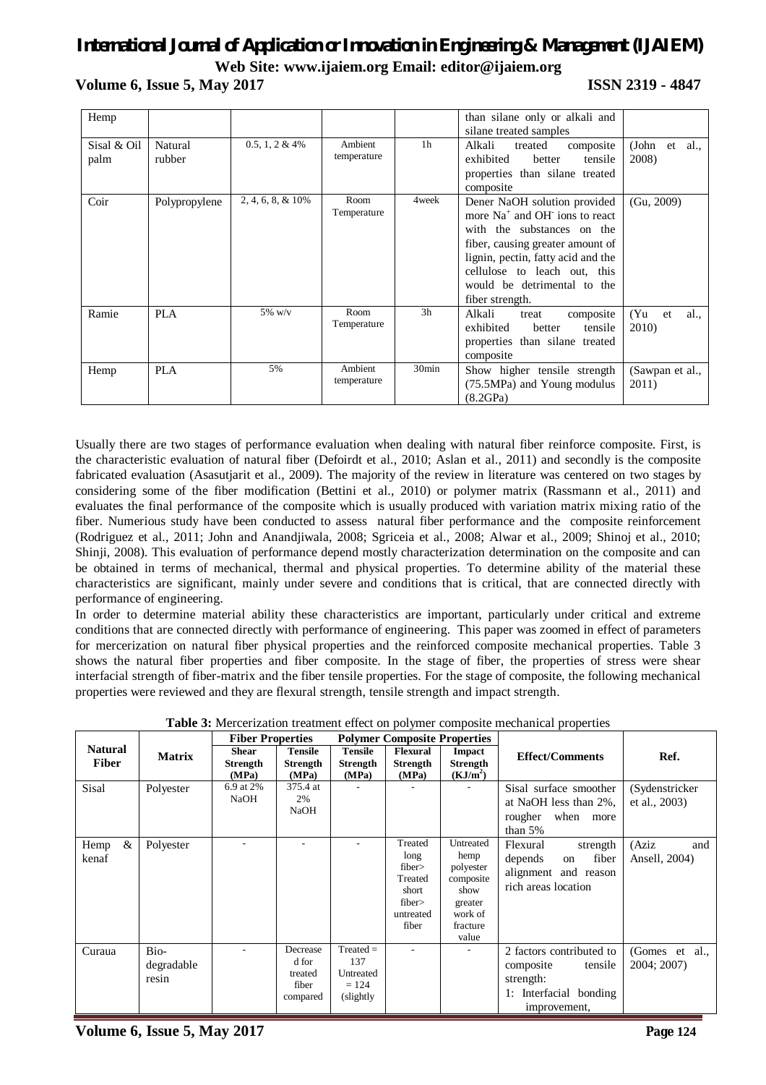**Volume 6, Issue 5, May 2017 ISSN 2319 - 4847**

| Hemp                |                   |                       |                        |                   | than silane only or alkali and<br>silane treated samples                                                                                                                                                                                                            |                                |
|---------------------|-------------------|-----------------------|------------------------|-------------------|---------------------------------------------------------------------------------------------------------------------------------------------------------------------------------------------------------------------------------------------------------------------|--------------------------------|
| Sisal & Oil<br>palm | Natural<br>rubber | $0.5, 1, 2 \& 4\%$    | Ambient<br>temperature | 1 <sub>h</sub>    | Alkali<br>composite<br>treated<br>exhibited<br>better<br>tensile<br>properties than silane treated<br>composite                                                                                                                                                     | (John<br>$et \, al.,$<br>2008) |
| Coir                | Polypropylene     | $2, 4, 6, 8, \& 10\%$ | Room<br>Temperature    | 4 week            | Dener NaOH solution provided<br>more Na <sup>+</sup> and OH ions to react<br>with the substances on the<br>fiber, causing greater amount of<br>lignin, pectin, fatty acid and the<br>cellulose to leach out, this<br>would be detrimental to the<br>fiber strength. | (Gu, 2009)                     |
| Ramie               | PLA               | $5\%$ w/v             | Room<br>Temperature    | 3 <sub>h</sub>    | Alkali<br>composite<br>treat<br>exhibited<br>tensile<br>better<br>properties than silane treated<br>composite                                                                                                                                                       | (Yu<br>et<br>al.,<br>2010)     |
| Hemp                | <b>PLA</b>        | 5%                    | Ambient<br>temperature | 30 <sub>min</sub> | Show higher tensile strength<br>(75.5MPa) and Young modulus<br>(8.2GPa)                                                                                                                                                                                             | (Sawpan et al.,<br>2011)       |

Usually there are two stages of performance evaluation when dealing with natural fiber reinforce composite. First, is the characteristic evaluation of natural fiber (Defoirdt et al., 2010; Aslan et al., 2011) and secondly is the composite fabricated evaluation (Asasutjarit et al., 2009). The majority of the review in literature was centered on two stages by considering some of the fiber modification (Bettini et al., 2010) or polymer matrix (Rassmann et al., 2011) and evaluates the final performance of the composite which is usually produced with variation matrix mixing ratio of the fiber. Numerious study have been conducted to assess natural fiber performance and the composite reinforcement (Rodriguez et al., 2011; John and Anandjiwala, 2008; Sgriceia et al., 2008; Alwar et al., 2009; Shinoj et al., 2010; Shinji, 2008). This evaluation of performance depend mostly characterization determination on the composite and can be obtained in terms of mechanical, thermal and physical properties. To determine ability of the material these characteristics are significant, mainly under severe and conditions that is critical, that are connected directly with performance of engineering.

In order to determine material ability these characteristics are important, particularly under critical and extreme conditions that are connected directly with performance of engineering. This paper was zoomed in effect of parameters for mercerization on natural fiber physical properties and the reinforced composite mechanical properties. Table 3 shows the natural fiber properties and fiber composite. In the stage of fiber, the properties of stress were shear interfacial strength of fiber-matrix and the fiber tensile properties. For the stage of composite, the following mechanical properties were reviewed and they are flexural strength, tensile strength and impact strength.

|                                |                             | <b>Fiber Properties</b>                  |                                                   | <b>Polymer Composite Properties</b>                      |                                                                             |                                                                                                | Ref.                                                                                                    |                                 |
|--------------------------------|-----------------------------|------------------------------------------|---------------------------------------------------|----------------------------------------------------------|-----------------------------------------------------------------------------|------------------------------------------------------------------------------------------------|---------------------------------------------------------------------------------------------------------|---------------------------------|
| <b>Natural</b><br><b>Fiber</b> | <b>Matrix</b>               | <b>Shear</b><br><b>Strength</b><br>(MPa) | <b>Tensile</b><br><b>Strength</b><br>(MPa)        | <b>Tensile</b><br><b>Strength</b><br>(MPa)               | <b>Flexural</b><br><b>Strength</b><br>(MPa)                                 | <b>Impact</b><br>Strength<br>(KJ/m <sup>2</sup> )                                              | <b>Effect/Comments</b>                                                                                  |                                 |
| Sisal                          | Polyester                   | 6.9 at 2%<br>NaOH                        | 375.4 at<br>2%<br><b>NaOH</b>                     |                                                          |                                                                             |                                                                                                | Sisal surface smoother<br>at NaOH less than 2%,<br>rougher<br>when more<br>than $5%$                    | (Sydenstricker<br>et al., 2003) |
| $\&$<br>Hemp<br>kenaf          | Polyester                   |                                          |                                                   |                                                          | Treated<br>long<br>fiber<br>Treated<br>short<br>fiber<br>untreated<br>fiber | Untreated<br>hemp<br>polyester<br>composite<br>show<br>greater<br>work of<br>fracture<br>value | Flexural<br>strength<br>depends<br>fiber<br>on<br>alignment and reason<br>rich areas location           | (Aziz)<br>and<br>Ansell, 2004)  |
| Curaua                         | Bio-<br>degradable<br>resin |                                          | Decrease<br>d for<br>treated<br>fiber<br>compared | $Treated =$<br>137<br>Untreated<br>$= 124$<br>(slightly) |                                                                             |                                                                                                | 2 factors contributed to<br>composite<br>tensile<br>strength:<br>1: Interfacial bonding<br>improvement, | (Gomes et al.,<br>2004; 2007)   |

**Table 3:** Mercerization treatment effect on polymer composite mechanical properties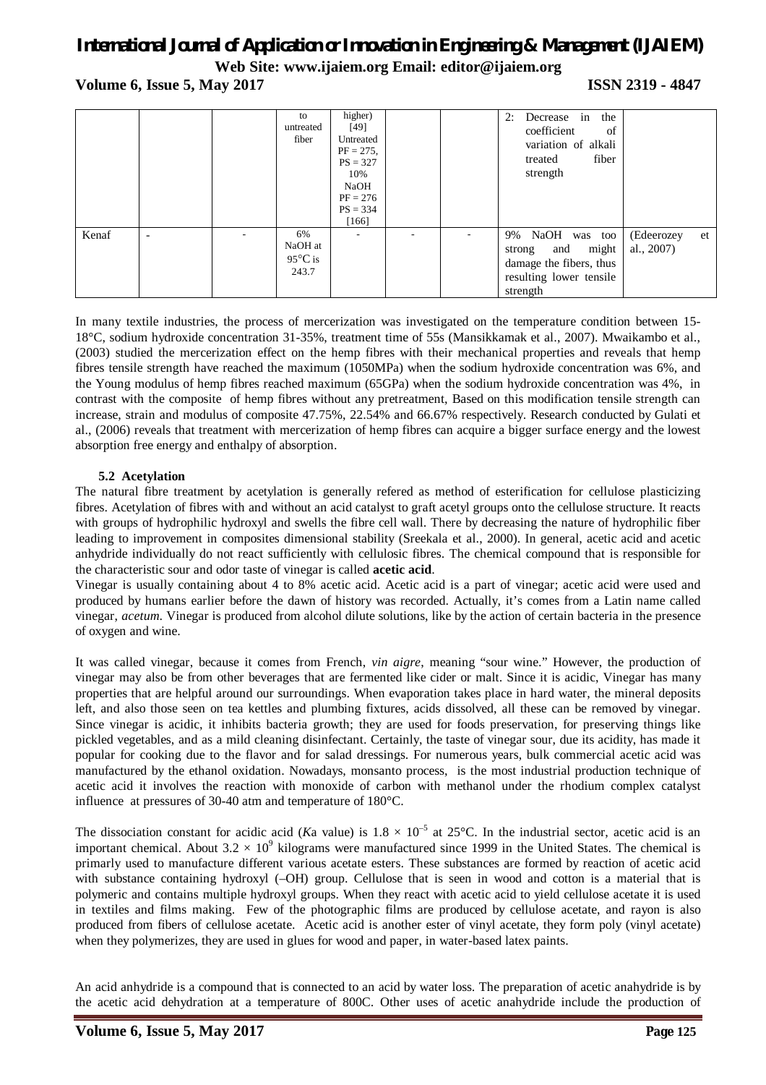**Volume 6, Issue 5, May 2017 ISSN 2319 - 4847** 

|       |                 | to<br>untreated<br>fiber                    | higher)<br>[49]<br>Untreated<br>$PF = 275$ ,<br>$PS = 327$<br>10%<br>NaOH<br>$PF = 276$<br>$PS = 334$<br>[166] |  | Decrease in the<br>2:<br>coefficient<br>of<br>variation of alkali<br>fiber<br>treated<br>strength        |                          |    |
|-------|-----------------|---------------------------------------------|----------------------------------------------------------------------------------------------------------------|--|----------------------------------------------------------------------------------------------------------|--------------------------|----|
| Kenaf | $\qquad \qquad$ | 6%<br>NaOH at<br>$95^{\circ}$ C is<br>243.7 |                                                                                                                |  | 9% NaOH was too<br>might<br>strong and<br>damage the fibers, thus<br>resulting lower tensile<br>strength | (Edeerozey<br>al., 2007) | et |

In many textile industries, the process of mercerization was investigated on the temperature condition between 15- 18°C, sodium hydroxide concentration 31-35%, treatment time of 55s (Mansikkamak et al., 2007). Mwaikambo et al., (2003) studied the mercerization effect on the hemp fibres with their mechanical properties and reveals that hemp fibres tensile strength have reached the maximum (1050MPa) when the sodium hydroxide concentration was 6%, and the Young modulus of hemp fibres reached maximum (65GPa) when the sodium hydroxide concentration was 4%, in contrast with the composite of hemp fibres without any pretreatment, Based on this modification tensile strength can increase, strain and modulus of composite 47.75%, 22.54% and 66.67% respectively. Research conducted by Gulati et al., (2006) reveals that treatment with mercerization of hemp fibres can acquire a bigger surface energy and the lowest absorption free energy and enthalpy of absorption.

### **5.2 Acetylation**

The natural fibre treatment by acetylation is generally refered as method of esterification for cellulose plasticizing fibres. Acetylation of fibres with and without an acid catalyst to graft acetyl groups onto the cellulose structure. It reacts with groups of hydrophilic hydroxyl and swells the fibre cell wall. There by decreasing the nature of hydrophilic fiber leading to improvement in composites dimensional stability (Sreekala et al., 2000). In general, acetic acid and acetic anhydride individually do not react sufficiently with cellulosic fibres. The chemical compound that is responsible for the characteristic sour and odor taste of vinegar is called **acetic acid**.

Vinegar is usually containing about 4 to 8% acetic acid. Acetic acid is a part of vinegar; acetic acid were used and produced by humans earlier before the dawn of history was recorded. Actually, it's comes from a Latin name called vinegar, *acetum*. Vinegar is produced from alcohol dilute solutions, like by the action of certain bacteria in the presence of oxygen and wine.

It was called vinegar, because it comes from French, *vin aigre*, meaning "sour wine." However, the production of vinegar may also be from other beverages that are fermented like cider or malt. Since it is acidic, Vinegar has many properties that are helpful around our surroundings. When evaporation takes place in hard water, the mineral deposits left, and also those seen on tea kettles and plumbing fixtures, acids dissolved, all these can be removed by vinegar. Since vinegar is acidic, it inhibits bacteria growth; they are used for foods preservation, for preserving things like pickled vegetables, and as a mild cleaning disinfectant. Certainly, the taste of vinegar sour, due its acidity, has made it popular for cooking due to the flavor and for salad dressings. For numerous years, bulk commercial acetic acid was manufactured by the ethanol oxidation. Nowadays, monsanto process, is the most industrial production technique of acetic acid it involves the reaction with monoxide of carbon with methanol under the rhodium complex catalyst influence at pressures of 30-40 atm and temperature of 180°C.

The dissociation constant for acidic acid (*Ka* value) is  $1.8 \times 10^{-5}$  at 25°C. In the industrial sector, acetic acid is an important chemical. About  $3.2 \times 10^9$  kilograms were manufactured since 1999 in the United States. The chemical is primarly used to manufacture different various acetate esters. These substances are formed by reaction of acetic acid with substance containing hydroxyl (–OH) group. Cellulose that is seen in wood and cotton is a material that is polymeric and contains multiple hydroxyl groups. When they react with acetic acid to yield cellulose acetate it is used in textiles and films making. Few of the photographic films are produced by cellulose acetate, and rayon is also produced from fibers of cellulose acetate. Acetic acid is another ester of vinyl acetate, they form poly (vinyl acetate) when they polymerizes, they are used in glues for wood and paper, in water-based latex paints.

An acid anhydride is a compound that is connected to an acid by water loss. The preparation of acetic anahydride is by the acetic acid dehydration at a temperature of 800C. Other uses of acetic anahydride include the production of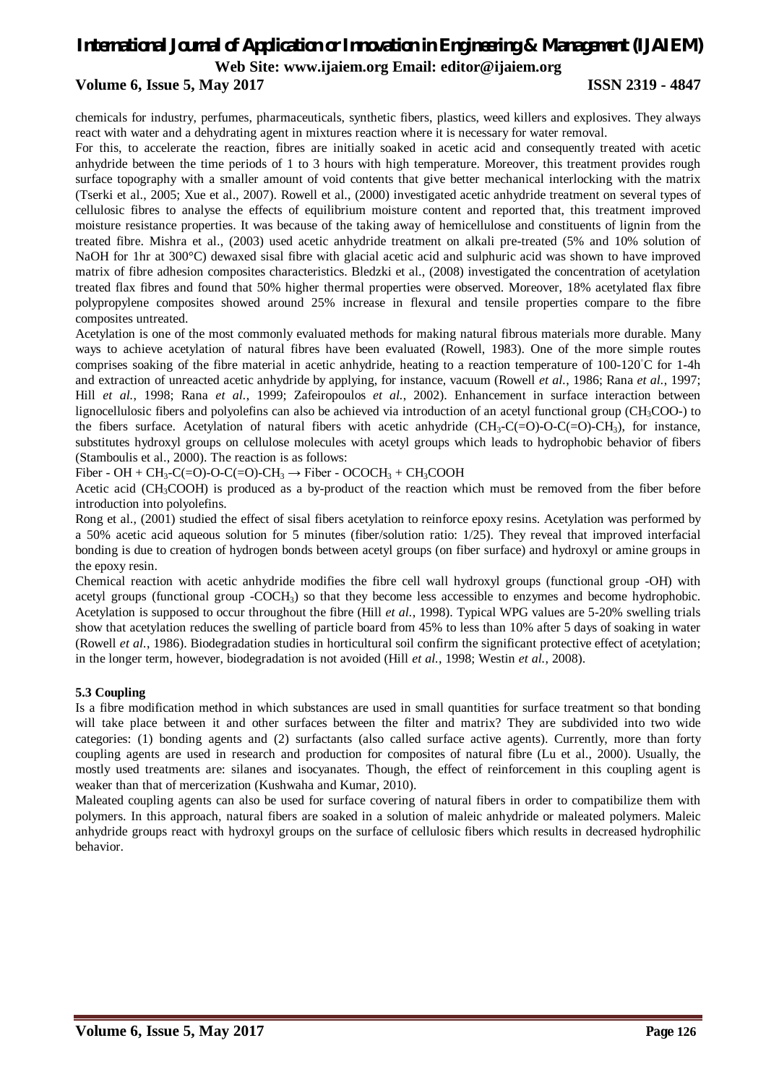# **Volume 6, Issue 5, May 2017 ISSN 2319 - 4847**

chemicals for industry, perfumes, pharmaceuticals, synthetic fibers, plastics, weed killers and explosives. They always react with water and a dehydrating agent in mixtures reaction where it is necessary for water removal.

For this, to accelerate the reaction, fibres are initially soaked in acetic acid and consequently treated with acetic anhydride between the time periods of 1 to 3 hours with high temperature. Moreover, this treatment provides rough surface topography with a smaller amount of void contents that give better mechanical interlocking with the matrix (Tserki et al., 2005; Xue et al., 2007). Rowell et al., (2000) investigated acetic anhydride treatment on several types of cellulosic fibres to analyse the effects of equilibrium moisture content and reported that, this treatment improved moisture resistance properties. It was because of the taking away of hemicellulose and constituents of lignin from the treated fibre. Mishra et al., (2003) used acetic anhydride treatment on alkali pre-treated (5% and 10% solution of NaOH for 1hr at 300°C) dewaxed sisal fibre with glacial acetic acid and sulphuric acid was shown to have improved matrix of fibre adhesion composites characteristics. Bledzki et al., (2008) investigated the concentration of acetylation treated flax fibres and found that 50% higher thermal properties were observed. Moreover, 18% acetylated flax fibre polypropylene composites showed around 25% increase in flexural and tensile properties compare to the fibre composites untreated.

Acetylation is one of the most commonly evaluated methods for making natural fibrous materials more durable. Many ways to achieve acetylation of natural fibres have been evaluated (Rowell, 1983). One of the more simple routes comprises soaking of the fibre material in acetic anhydride, heating to a reaction temperature of  $100-120°C$  for 1-4h and extraction of unreacted acetic anhydride by applying, for instance, vacuum (Rowell *et al.*, 1986; Rana *et al.*, 1997; Hill *et al.*, 1998; Rana *et al.*, 1999; Zafeiropoulos *et al.*, 2002). Enhancement in surface interaction between lignocellulosic fibers and polyolefins can also be achieved via introduction of an acetyl functional group (CH3COO-) to the fibers surface. Acetylation of natural fibers with acetic anhydride  $(CH_3-C(=O)-O-C(=O)-CH_3)$ , for instance, substitutes hydroxyl groups on cellulose molecules with acetyl groups which leads to hydrophobic behavior of fibers (Stamboulis et al., 2000). The reaction is as follows:

Fiber - OH + CH<sub>3</sub>-C(=O)-O-C(=O)-CH<sub>3</sub>  $\rightarrow$  Fiber - OCOCH<sub>3</sub> + CH<sub>3</sub>COOH

Acetic acid (CH<sub>3</sub>COOH) is produced as a by-product of the reaction which must be removed from the fiber before introduction into polyolefins.

Rong et al., (2001) studied the effect of sisal fibers acetylation to reinforce epoxy resins. Acetylation was performed by a 50% acetic acid aqueous solution for 5 minutes (fiber/solution ratio: 1/25). They reveal that improved interfacial bonding is due to creation of hydrogen bonds between acetyl groups (on fiber surface) and hydroxyl or amine groups in the epoxy resin.

Chemical reaction with acetic anhydride modifies the fibre cell wall hydroxyl groups (functional group -OH) with acetyl groups (functional group -COCH3) so that they become less accessible to enzymes and become hydrophobic. Acetylation is supposed to occur throughout the fibre (Hill *et al.*, 1998). Typical WPG values are 5-20% swelling trials show that acetylation reduces the swelling of particle board from 45% to less than 10% after 5 days of soaking in water (Rowell *et al.*, 1986). Biodegradation studies in horticultural soil confirm the significant protective effect of acetylation; in the longer term, however, biodegradation is not avoided (Hill *et al.*, 1998; Westin *et al.*, 2008).

## **5.3 Coupling**

Is a fibre modification method in which substances are used in small quantities for surface treatment so that bonding will take place between it and other surfaces between the filter and matrix? They are subdivided into two wide categories: (1) bonding agents and (2) surfactants (also called surface active agents). Currently, more than forty coupling agents are used in research and production for composites of natural fibre (Lu et al., 2000). Usually, the mostly used treatments are: silanes and isocyanates. Though, the effect of reinforcement in this coupling agent is weaker than that of mercerization (Kushwaha and Kumar, 2010).

Maleated coupling agents can also be used for surface covering of natural fibers in order to compatibilize them with polymers. In this approach, natural fibers are soaked in a solution of maleic anhydride or maleated polymers. Maleic anhydride groups react with hydroxyl groups on the surface of cellulosic fibers which results in decreased hydrophilic behavior.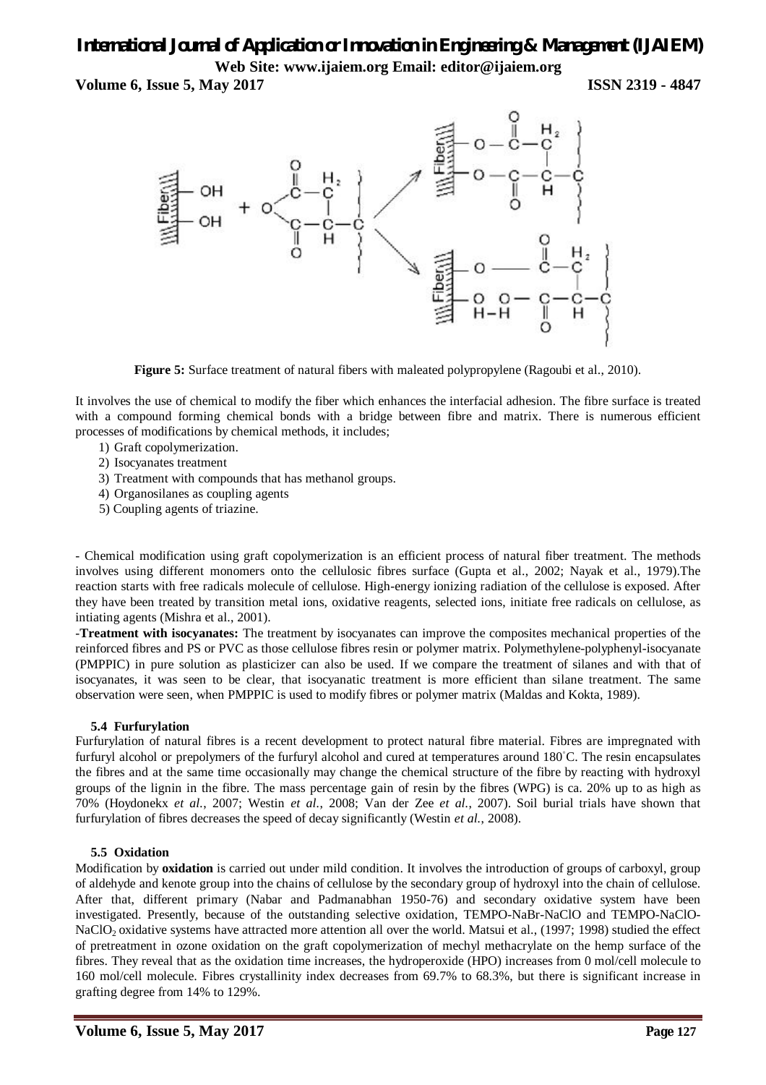**Volume 6, Issue 5, May 2017 ISSN 2319 - 4847** 



**Figure 5:** Surface treatment of natural fibers with maleated polypropylene (Ragoubi et al., 2010).

It involves the use of chemical to modify the fiber which enhances the interfacial adhesion. The fibre surface is treated with a compound forming chemical bonds with a bridge between fibre and matrix. There is numerous efficient processes of modifications by chemical methods, it includes;

- 1) Graft copolymerization.
- 2) Isocyanates treatment
- 3) Treatment with compounds that has methanol groups.
- 4) Organosilanes as coupling agents
- 5) Coupling agents of triazine.

- Chemical modification using graft copolymerization is an efficient process of natural fiber treatment. The methods involves using different monomers onto the cellulosic fibres surface (Gupta et al., 2002; Nayak et al., 1979).The reaction starts with free radicals molecule of cellulose. High-energy ionizing radiation of the cellulose is exposed. After they have been treated by transition metal ions, oxidative reagents, selected ions, initiate free radicals on cellulose, as intiating agents (Mishra et al., 2001).

-**Treatment with isocyanates:** The treatment by isocyanates can improve the composites mechanical properties of the reinforced fibres and PS or PVC as those cellulose fibres resin or polymer matrix. Polymethylene-polyphenyl-isocyanate (PMPPIC) in pure solution as plasticizer can also be used. If we compare the treatment of silanes and with that of isocyanates, it was seen to be clear, that isocyanatic treatment is more efficient than silane treatment. The same observation were seen, when PMPPIC is used to modify fibres or polymer matrix (Maldas and Kokta, 1989).

## **5.4 Furfurylation**

Furfurylation of natural fibres is a recent development to protect natural fibre material. Fibres are impregnated with furfuryl alcohol or prepolymers of the furfuryl alcohol and cured at temperatures around 180<sup>°</sup>C. The resin encapsulates the fibres and at the same time occasionally may change the chemical structure of the fibre by reacting with hydroxyl groups of the lignin in the fibre. The mass percentage gain of resin by the fibres (WPG) is ca. 20% up to as high as 70% (Hoydonekx *et al.*, 2007; Westin *et al.*, 2008; Van der Zee *et al.*, 2007). Soil burial trials have shown that furfurylation of fibres decreases the speed of decay significantly (Westin *et al.*, 2008).

## **5.5 Oxidation**

Modification by **oxidation** is carried out under mild condition. It involves the introduction of groups of carboxyl, group of aldehyde and kenote group into the chains of cellulose by the secondary group of hydroxyl into the chain of cellulose. After that, different primary (Nabar and Padmanabhan 1950-76) and secondary oxidative system have been investigated. Presently, because of the outstanding selective oxidation, TEMPO-NaBr-NaClO and TEMPO-NaClO-NaClO<sub>2</sub> oxidative systems have attracted more attention all over the world. Matsui et al., (1997; 1998) studied the effect of pretreatment in ozone oxidation on the graft copolymerization of mechyl methacrylate on the hemp surface of the fibres. They reveal that as the oxidation time increases, the hydroperoxide (HPO) increases from 0 mol/cell molecule to 160 mol/cell molecule. Fibres crystallinity index decreases from 69.7% to 68.3%, but there is significant increase in grafting degree from 14% to 129%.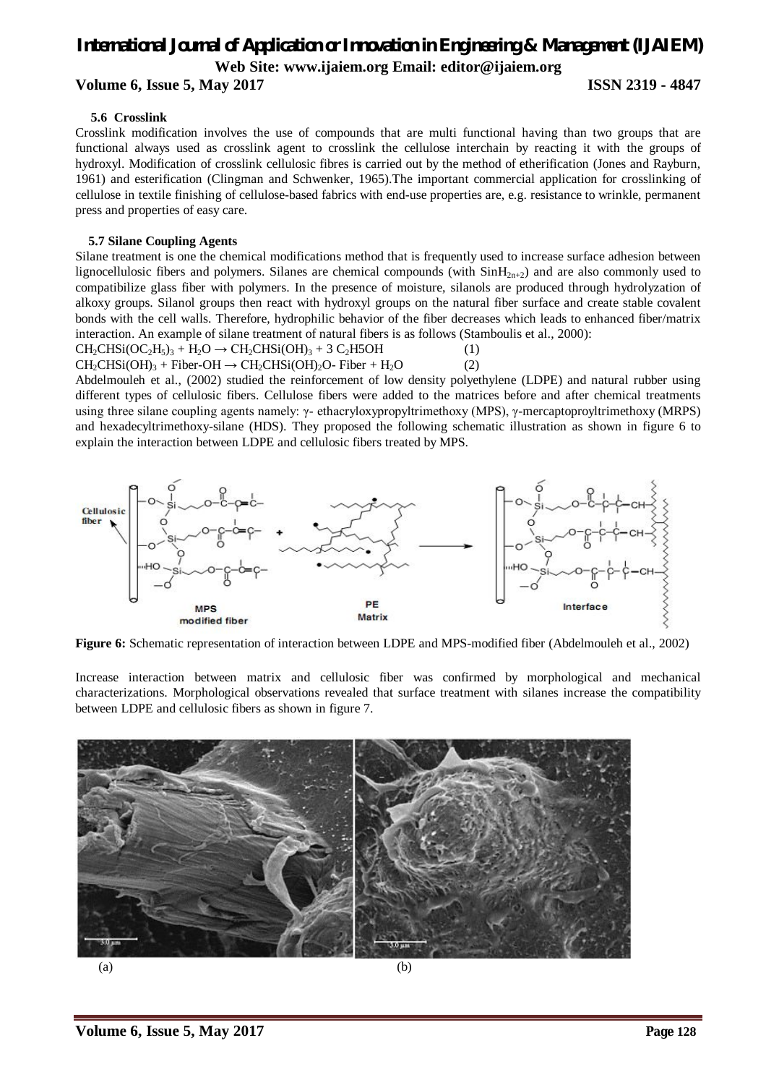# **Volume 6, Issue 5, May 2017 ISSN 2319 - 4847**

### **5.6 Crosslink**

Crosslink modification involves the use of compounds that are multi functional having than two groups that are functional always used as crosslink agent to crosslink the cellulose interchain by reacting it with the groups of hydroxyl. Modification of crosslink cellulosic fibres is carried out by the method of etherification (Jones and Rayburn, 1961) and esterification (Clingman and Schwenker, 1965).The important commercial application for crosslinking of cellulose in textile finishing of cellulose-based fabrics with end-use properties are, e.g. resistance to wrinkle, permanent press and properties of easy care.

### **5.7 Silane Coupling Agents**

Silane treatment is one the chemical modifications method that is frequently used to increase surface adhesion between lignocellulosic fibers and polymers. Silanes are chemical compounds (with  $\text{SinH}_{2n+2}$ ) and are also commonly used to compatibilize glass fiber with polymers. In the presence of moisture, silanols are produced through hydrolyzation of alkoxy groups. Silanol groups then react with hydroxyl groups on the natural fiber surface and create stable covalent bonds with the cell walls. Therefore, hydrophilic behavior of the fiber decreases which leads to enhanced fiber/matrix interaction. An example of silane treatment of natural fibers is as follows (Stamboulis et al., 2000):

 $CH<sub>2</sub>CHSi(OC<sub>2</sub>H<sub>5</sub>)<sub>3</sub> + H<sub>2</sub>O \rightarrow CH<sub>2</sub>CHSi(OH)<sub>3</sub> + 3 C<sub>2</sub>H5OH$ <sup>(1)</sup>

explain the interaction between LDPE and cellulosic fibers treated by MPS.

 $CH_2CH_2CH_3(OH)_3 + Fiber-OH \rightarrow CH_2CH_3(OH)_2O - Fiber + H_2O$  (2) Abdelmouleh et al., (2002) studied the reinforcement of low density polyethylene (LDPE) and natural rubber using different types of cellulosic fibers. Cellulose fibers were added to the matrices before and after chemical treatments using three silane coupling agents namely: γ- ethacryloxypropyltrimethoxy (MPS), γ-mercaptoproyltrimethoxy (MRPS) and hexadecyltrimethoxy-silane (HDS). They proposed the following schematic illustration as shown in figure 6 to



**Figure 6:** Schematic representation of interaction between LDPE and MPS-modified fiber (Abdelmouleh et al., 2002)

Increase interaction between matrix and cellulosic fiber was confirmed by morphological and mechanical characterizations. Morphological observations revealed that surface treatment with silanes increase the compatibility between LDPE and cellulosic fibers as shown in figure 7.

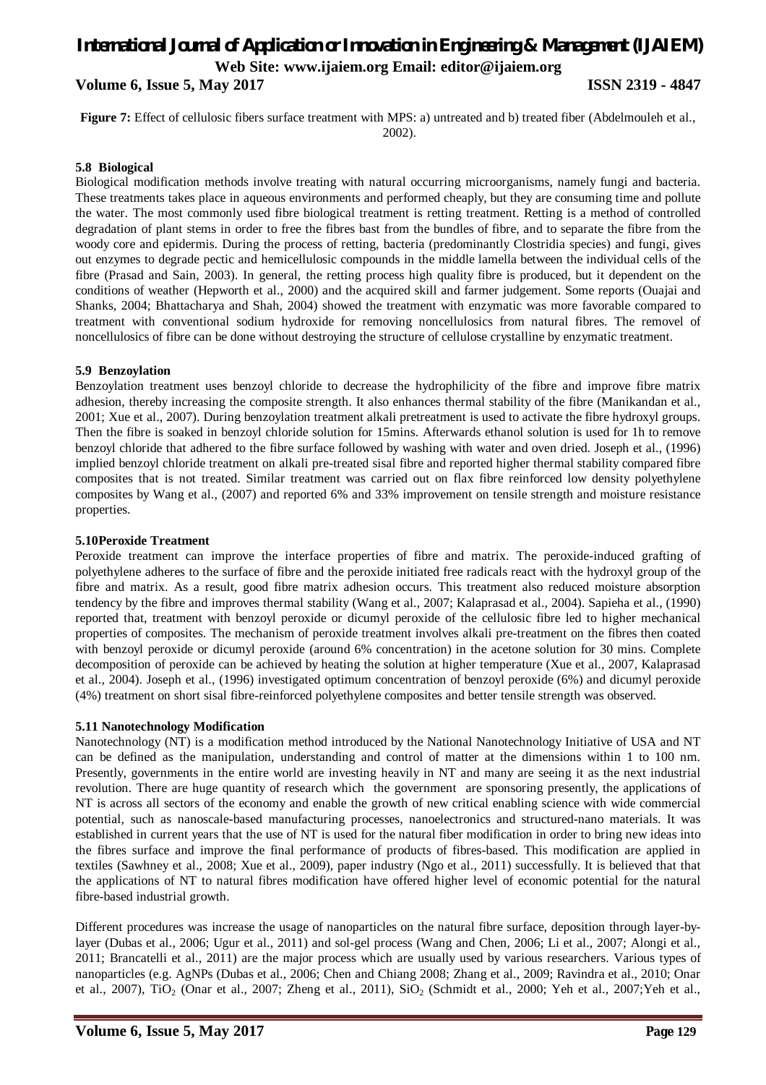**Volume 6, Issue 5, May 2017 ISSN 2319 - 4847** 

**Figure 7:** Effect of cellulosic fibers surface treatment with MPS: a) untreated and b) treated fiber (Abdelmouleh et al., 2002).

### **5.8 Biological**

Biological modification methods involve treating with natural occurring microorganisms, namely fungi and bacteria. These treatments takes place in aqueous environments and performed cheaply, but they are consuming time and pollute the water. The most commonly used fibre biological treatment is retting treatment. Retting is a method of controlled degradation of plant stems in order to free the fibres bast from the bundles of fibre, and to separate the fibre from the woody core and epidermis. During the process of retting, bacteria (predominantly Clostridia species) and fungi, gives out enzymes to degrade pectic and hemicellulosic compounds in the middle lamella between the individual cells of the fibre (Prasad and Sain, 2003). In general, the retting process high quality fibre is produced, but it dependent on the conditions of weather (Hepworth et al., 2000) and the acquired skill and farmer judgement. Some reports (Ouajai and Shanks, 2004; Bhattacharya and Shah, 2004) showed the treatment with enzymatic was more favorable compared to treatment with conventional sodium hydroxide for removing noncellulosics from natural fibres. The removel of noncellulosics of fibre can be done without destroying the structure of cellulose crystalline by enzymatic treatment.

## **5.9 Benzoylation**

Benzoylation treatment uses benzoyl chloride to decrease the hydrophilicity of the fibre and improve fibre matrix adhesion, thereby increasing the composite strength. It also enhances thermal stability of the fibre (Manikandan et al., 2001; Xue et al., 2007). During benzoylation treatment alkali pretreatment is used to activate the fibre hydroxyl groups. Then the fibre is soaked in benzoyl chloride solution for 15mins. Afterwards ethanol solution is used for 1h to remove benzoyl chloride that adhered to the fibre surface followed by washing with water and oven dried. Joseph et al., (1996) implied benzoyl chloride treatment on alkali pre-treated sisal fibre and reported higher thermal stability compared fibre composites that is not treated. Similar treatment was carried out on flax fibre reinforced low density polyethylene composites by Wang et al., (2007) and reported 6% and 33% improvement on tensile strength and moisture resistance properties.

### **5.10Peroxide Treatment**

Peroxide treatment can improve the interface properties of fibre and matrix. The peroxide-induced grafting of polyethylene adheres to the surface of fibre and the peroxide initiated free radicals react with the hydroxyl group of the fibre and matrix. As a result, good fibre matrix adhesion occurs. This treatment also reduced moisture absorption tendency by the fibre and improves thermal stability (Wang et al., 2007; Kalaprasad et al., 2004). Sapieha et al., (1990) reported that, treatment with benzoyl peroxide or dicumyl peroxide of the cellulosic fibre led to higher mechanical properties of composites. The mechanism of peroxide treatment involves alkali pre-treatment on the fibres then coated with benzoyl peroxide or dicumyl peroxide (around 6% concentration) in the acetone solution for 30 mins. Complete decomposition of peroxide can be achieved by heating the solution at higher temperature (Xue et al., 2007, Kalaprasad et al., 2004). Joseph et al., (1996) investigated optimum concentration of benzoyl peroxide (6%) and dicumyl peroxide (4%) treatment on short sisal fibre-reinforced polyethylene composites and better tensile strength was observed.

### **5.11 Nanotechnology Modification**

Nanotechnology (NT) is a modification method introduced by the National Nanotechnology Initiative of USA and NT can be defined as the manipulation, understanding and control of matter at the dimensions within 1 to 100 nm. Presently, governments in the entire world are investing heavily in NT and many are seeing it as the next industrial revolution. There are huge quantity of research which the government are sponsoring presently, the applications of NT is across all sectors of the economy and enable the growth of new critical enabling science with wide commercial potential, such as nanoscale-based manufacturing processes, nanoelectronics and structured-nano materials. It was established in current years that the use of NT is used for the natural fiber modification in order to bring new ideas into the fibres surface and improve the final performance of products of fibres-based. This modification are applied in textiles (Sawhney et al., 2008; Xue et al., 2009), paper industry (Ngo et al., 2011) successfully. It is believed that that the applications of NT to natural fibres modification have offered higher level of economic potential for the natural fibre-based industrial growth.

Different procedures was increase the usage of nanoparticles on the natural fibre surface, deposition through layer-bylayer (Dubas et al., 2006; Ugur et al., 2011) and sol-gel process (Wang and Chen, 2006; Li et al., 2007; Alongi et al., 2011; Brancatelli et al., 2011) are the major process which are usually used by various researchers. Various types of nanoparticles (e.g. AgNPs (Dubas et al., 2006; Chen and Chiang 2008; Zhang et al., 2009; Ravindra et al., 2010; Onar et al., 2007), TiO<sub>2</sub> (Onar et al., 2007; Zheng et al., 2011), SiO<sub>2</sub> (Schmidt et al., 2000; Yeh et al., 2007; Yeh et al.,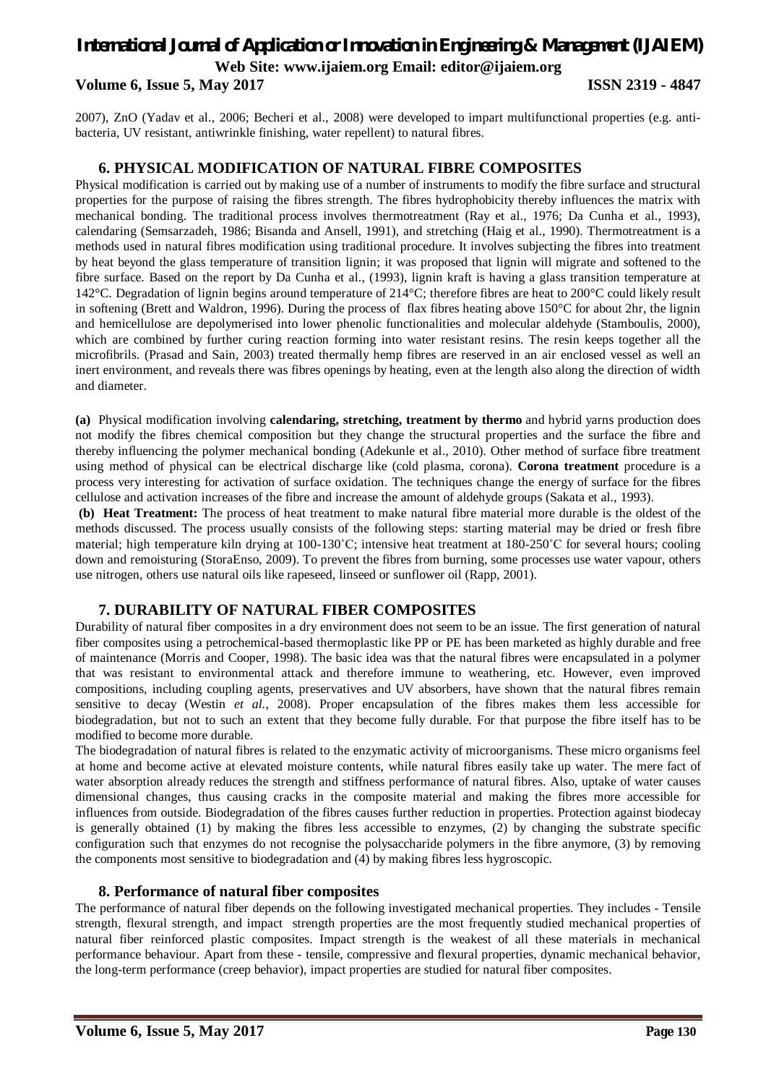## **Volume 6, Issue 5, May 2017 ISSN 2319 - 4847**

2007), ZnO (Yadav et al., 2006; Becheri et al., 2008) were developed to impart multifunctional properties (e.g. antibacteria, UV resistant, antiwrinkle finishing, water repellent) to natural fibres.

## **6. PHYSICAL MODIFICATION OF NATURAL FIBRE COMPOSITES**

Physical modification is carried out by making use of a number of instruments to modify the fibre surface and structural properties for the purpose of raising the fibres strength. The fibres hydrophobicity thereby influences the matrix with mechanical bonding. The traditional process involves thermotreatment (Ray et al., 1976; Da Cunha et al., 1993), calendaring (Semsarzadeh, 1986; Bisanda and Ansell, 1991), and stretching (Haig et al., 1990). Thermotreatment is a methods used in natural fibres modification using traditional procedure. It involves subjecting the fibres into treatment by heat beyond the glass temperature of transition lignin; it was proposed that lignin will migrate and softened to the fibre surface. Based on the report by Da Cunha et al., (1993), lignin kraft is having a glass transition temperature at 142°C. Degradation of lignin begins around temperature of 214°C; therefore fibres are heat to 200°C could likely result in softening (Brett and Waldron, 1996). During the process of flax fibres heating above 150°C for about 2hr, the lignin and hemicellulose are depolymerised into lower phenolic functionalities and molecular aldehyde (Stamboulis, 2000), which are combined by further curing reaction forming into water resistant resins. The resin keeps together all the microfibrils. (Prasad and Sain, 2003) treated thermally hemp fibres are reserved in an air enclosed vessel as well an inert environment, and reveals there was fibres openings by heating, even at the length also along the direction of width and diameter.

**(a)** Physical modification involving **calendaring, stretching, treatment by thermo** and hybrid yarns production does not modify the fibres chemical composition but they change the structural properties and the surface the fibre and thereby influencing the polymer mechanical bonding (Adekunle et al., 2010). Other method of surface fibre treatment using method of physical can be electrical discharge like (cold plasma, corona). **Corona treatment** procedure is a process very interesting for activation of surface oxidation. The techniques change the energy of surface for the fibres cellulose and activation increases of the fibre and increase the amount of aldehyde groups (Sakata et al., 1993).

**(b) Heat Treatment:** The process of heat treatment to make natural fibre material more durable is the oldest of the methods discussed. The process usually consists of the following steps: starting material may be dried or fresh fibre material; high temperature kiln drying at 100-130°C; intensive heat treatment at 180-250°C for several hours; cooling down and remoisturing (StoraEnso, 2009). To prevent the fibres from burning, some processes use water vapour, others use nitrogen, others use natural oils like rapeseed, linseed or sunflower oil (Rapp, 2001).

# **7. DURABILITY OF NATURAL FIBER COMPOSITES**

Durability of natural fiber composites in a dry environment does not seem to be an issue. The first generation of natural fiber composites using a petrochemical-based thermoplastic like PP or PE has been marketed as highly durable and free of maintenance (Morris and Cooper, 1998). The basic idea was that the natural fibres were encapsulated in a polymer that was resistant to environmental attack and therefore immune to weathering, etc. However, even improved compositions, including coupling agents, preservatives and UV absorbers, have shown that the natural fibres remain sensitive to decay (Westin *et al.*, 2008). Proper encapsulation of the fibres makes them less accessible for biodegradation, but not to such an extent that they become fully durable. For that purpose the fibre itself has to be modified to become more durable.

The biodegradation of natural fibres is related to the enzymatic activity of microorganisms. These micro organisms feel at home and become active at elevated moisture contents, while natural fibres easily take up water. The mere fact of water absorption already reduces the strength and stiffness performance of natural fibres. Also, uptake of water causes dimensional changes, thus causing cracks in the composite material and making the fibres more accessible for influences from outside. Biodegradation of the fibres causes further reduction in properties. Protection against biodecay is generally obtained (1) by making the fibres less accessible to enzymes, (2) by changing the substrate specific configuration such that enzymes do not recognise the polysaccharide polymers in the fibre anymore, (3) by removing the components most sensitive to biodegradation and (4) by making fibres less hygroscopic.

## **8. Performance of natural fiber composites**

The performance of natural fiber depends on the following investigated mechanical properties. They includes - Tensile strength, flexural strength, and impact strength properties are the most frequently studied mechanical properties of natural fiber reinforced plastic composites. Impact strength is the weakest of all these materials in mechanical performance behaviour. Apart from these - tensile, compressive and flexural properties, dynamic mechanical behavior, the long-term performance (creep behavior), impact properties are studied for natural fiber composites.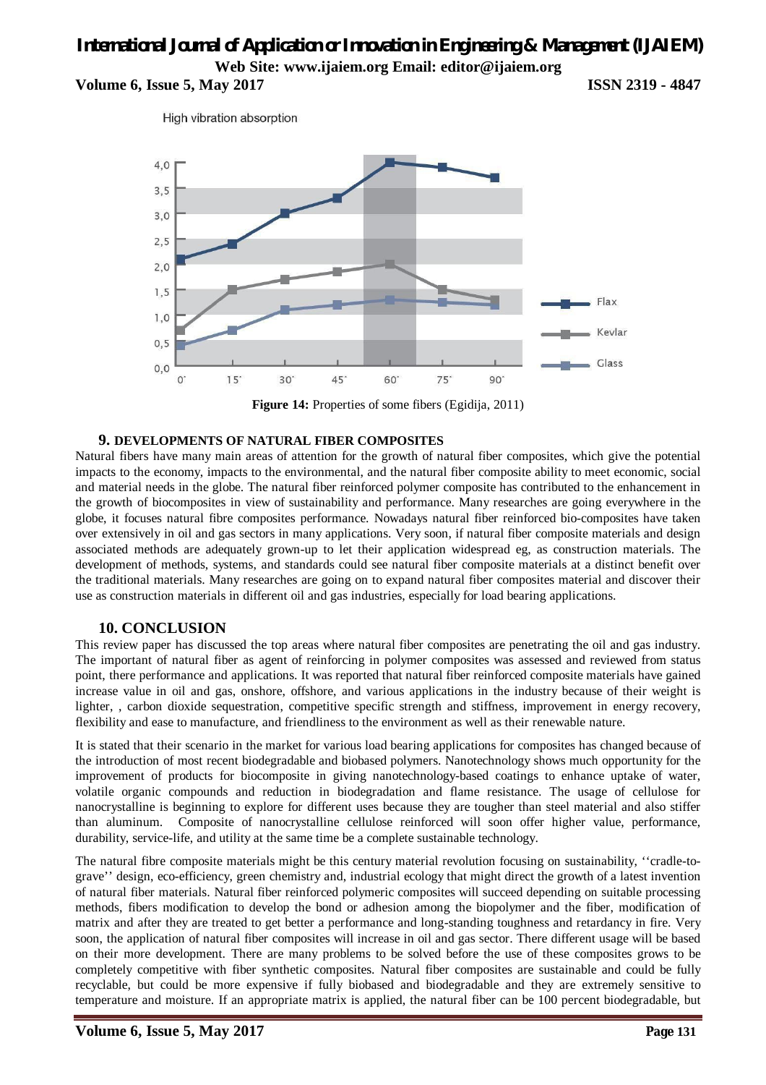**Volume 6, Issue 5, May 2017 ISSN 2319 - 4847** 

High vibration absorption



**Figure 14:** Properties of some fibers (Egidija, 2011)

## **9. DEVELOPMENTS OF NATURAL FIBER COMPOSITES**

Natural fibers have many main areas of attention for the growth of natural fiber composites, which give the potential impacts to the economy, impacts to the environmental, and the natural fiber composite ability to meet economic, social and material needs in the globe. The natural fiber reinforced polymer composite has contributed to the enhancement in the growth of biocomposites in view of sustainability and performance. Many researches are going everywhere in the globe, it focuses natural fibre composites performance. Nowadays natural fiber reinforced bio-composites have taken over extensively in oil and gas sectors in many applications. Very soon, if natural fiber composite materials and design associated methods are adequately grown-up to let their application widespread eg, as construction materials. The development of methods, systems, and standards could see natural fiber composite materials at a distinct benefit over the traditional materials. Many researches are going on to expand natural fiber composites material and discover their use as construction materials in different oil and gas industries, especially for load bearing applications.

## **10. CONCLUSION**

This review paper has discussed the top areas where natural fiber composites are penetrating the oil and gas industry. The important of natural fiber as agent of reinforcing in polymer composites was assessed and reviewed from status point, there performance and applications. It was reported that natural fiber reinforced composite materials have gained increase value in oil and gas, onshore, offshore, and various applications in the industry because of their weight is lighter, , carbon dioxide sequestration, competitive specific strength and stiffness, improvement in energy recovery, flexibility and ease to manufacture, and friendliness to the environment as well as their renewable nature.

It is stated that their scenario in the market for various load bearing applications for composites has changed because of the introduction of most recent biodegradable and biobased polymers. Nanotechnology shows much opportunity for the improvement of products for biocomposite in giving nanotechnology-based coatings to enhance uptake of water, volatile organic compounds and reduction in biodegradation and flame resistance. The usage of cellulose for nanocrystalline is beginning to explore for different uses because they are tougher than steel material and also stiffer than aluminum. Composite of nanocrystalline cellulose reinforced will soon offer higher value, performance, durability, service-life, and utility at the same time be a complete sustainable technology.

The natural fibre composite materials might be this century material revolution focusing on sustainability, ''cradle-tograve'' design, eco-efficiency, green chemistry and, industrial ecology that might direct the growth of a latest invention of natural fiber materials. Natural fiber reinforced polymeric composites will succeed depending on suitable processing methods, fibers modification to develop the bond or adhesion among the biopolymer and the fiber, modification of matrix and after they are treated to get better a performance and long-standing toughness and retardancy in fire. Very soon, the application of natural fiber composites will increase in oil and gas sector. There different usage will be based on their more development. There are many problems to be solved before the use of these composites grows to be completely competitive with fiber synthetic composites. Natural fiber composites are sustainable and could be fully recyclable, but could be more expensive if fully biobased and biodegradable and they are extremely sensitive to temperature and moisture. If an appropriate matrix is applied, the natural fiber can be 100 percent biodegradable, but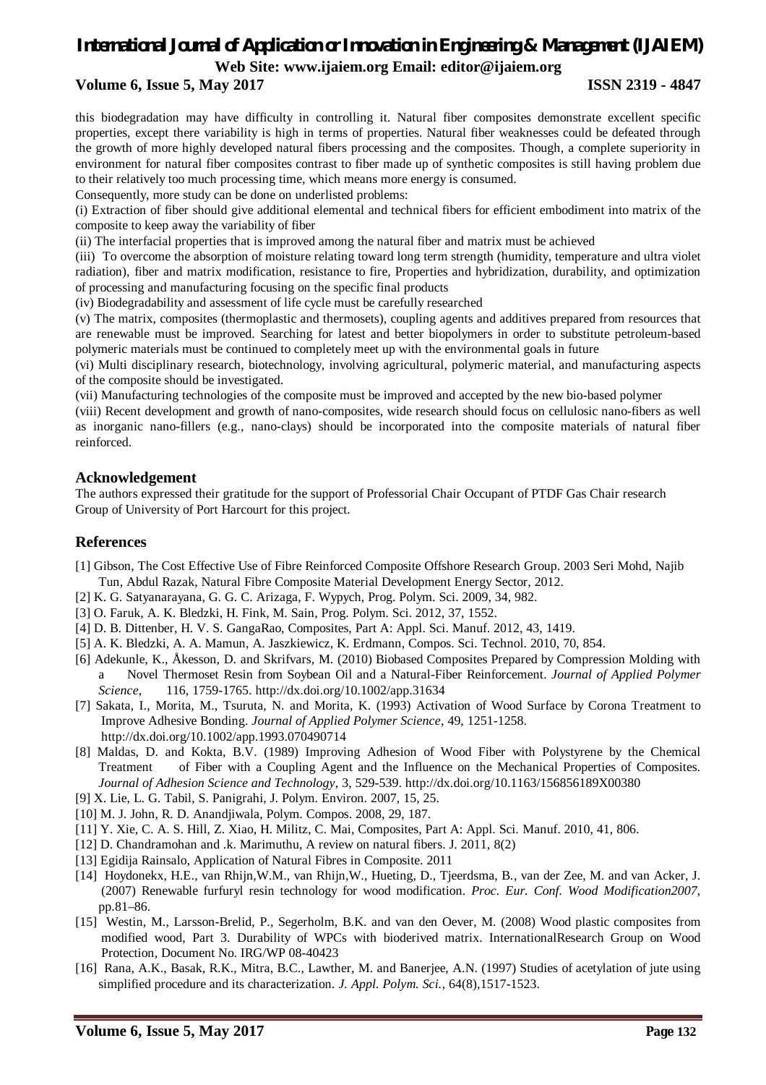# **Volume 6, Issue 5, May 2017 ISSN 2319 - 4847**

this biodegradation may have difficulty in controlling it. Natural fiber composites demonstrate excellent specific properties, except there variability is high in terms of properties. Natural fiber weaknesses could be defeated through the growth of more highly developed natural fibers processing and the composites. Though, a complete superiority in environment for natural fiber composites contrast to fiber made up of synthetic composites is still having problem due to their relatively too much processing time, which means more energy is consumed.

Consequently, more study can be done on underlisted problems:

(i) Extraction of fiber should give additional elemental and technical fibers for efficient embodiment into matrix of the composite to keep away the variability of fiber

(ii) The interfacial properties that is improved among the natural fiber and matrix must be achieved

(iii) To overcome the absorption of moisture relating toward long term strength (humidity, temperature and ultra violet radiation), fiber and matrix modification, resistance to fire, Properties and hybridization, durability, and optimization of processing and manufacturing focusing on the specific final products

(iv) Biodegradability and assessment of life cycle must be carefully researched

(v) The matrix, composites (thermoplastic and thermosets), coupling agents and additives prepared from resources that are renewable must be improved. Searching for latest and better biopolymers in order to substitute petroleum-based polymeric materials must be continued to completely meet up with the environmental goals in future

(vi) Multi disciplinary research, biotechnology, involving agricultural, polymeric material, and manufacturing aspects of the composite should be investigated.

(vii) Manufacturing technologies of the composite must be improved and accepted by the new bio-based polymer

(viii) Recent development and growth of nano-composites, wide research should focus on cellulosic nano-fibers as well as inorganic nano-fillers (e.g., nano-clays) should be incorporated into the composite materials of natural fiber reinforced.

## **Acknowledgement**

The authors expressed their gratitude for the support of Professorial Chair Occupant of PTDF Gas Chair research Group of University of Port Harcourt for this project.

## **References**

- [1] Gibson, The Cost Effective Use of Fibre Reinforced Composite Offshore Research Group. 2003 Seri Mohd, Najib Tun, Abdul Razak, Natural Fibre Composite Material Development Energy Sector, 2012.
- [2] K. G. Satyanarayana, G. G. C. Arizaga, F. Wypych, Prog. Polym. Sci. 2009, 34, 982.
- [3] O. Faruk, A. K. Bledzki, H. Fink, M. Sain, Prog. Polym. Sci. 2012, 37, 1552.
- [4] D. B. Dittenber, H. V. S. GangaRao, Composites, Part A: Appl. Sci. Manuf. 2012, 43, 1419.
- [5] A. K. Bledzki, A. A. Mamun, A. Jaszkiewicz, K. Erdmann, Compos. Sci. Technol. 2010, 70, 854.
- [6] Adekunle, K., Åkesson, D. and Skrifvars, M. (2010) Biobased Composites Prepared by Compression Molding with a Novel Thermoset Resin from Soybean Oil and a Natural-Fiber Reinforcement. *Journal of Applied Polymer Science*, 116, 1759-1765. http://dx.doi.org/10.1002/app.31634
- [7] Sakata, I., Morita, M., Tsuruta, N. and Morita, K. (1993) Activation of Wood Surface by Corona Treatment to Improve Adhesive Bonding. *Journal of Applied Polymer Science*, 49, 1251-1258. http://dx.doi.org/10.1002/app.1993.070490714
- [8] Maldas, D. and Kokta, B.V. (1989) Improving Adhesion of Wood Fiber with Polystyrene by the Chemical Treatment of Fiber with a Coupling Agent and the Influence on the Mechanical Properties of Composites. *Journal of Adhesion Science and Technology*, 3, 529-539. http://dx.doi.org/10.1163/156856189X00380
- [9] X. Lie, L. G. Tabil, S. Panigrahi, J. Polym. Environ. 2007, 15, 25.
- [10] M. J. John, R. D. Anandjiwala, Polym. Compos. 2008, 29, 187.
- [11] Y. Xie, C. A. S. Hill, Z. Xiao, H. Militz, C. Mai, Composites, Part A: Appl. Sci. Manuf. 2010, 41, 806.
- [12] D. Chandramohan and .k. Marimuthu, A review on natural fibers. J. 2011, 8(2)
- [13] Egidija Rainsalo, Application of Natural Fibres in Composite. 2011
- [14] Hoydonekx, H.E., van Rhijn,W.M., van Rhijn,W., Hueting, D., Tjeerdsma, B., van der Zee, M. and van Acker, J. (2007) Renewable furfuryl resin technology for wood modification. *Proc. Eur. Conf. Wood Modification2007*, pp.81–86.
- [15] Westin, M., Larsson-Brelid, P., Segerholm, B.K. and van den Oever, M. (2008) Wood plastic composites from modified wood, Part 3. Durability of WPCs with bioderived matrix. InternationalResearch Group on Wood Protection, Document No. IRG/WP 08-40423
- [16] Rana, A.K., Basak, R.K., Mitra, B.C., Lawther, M. and Banerjee, A.N. (1997) Studies of acetylation of jute using simplified procedure and its characterization. *J. Appl. Polym. Sci.*, 64(8),1517-1523.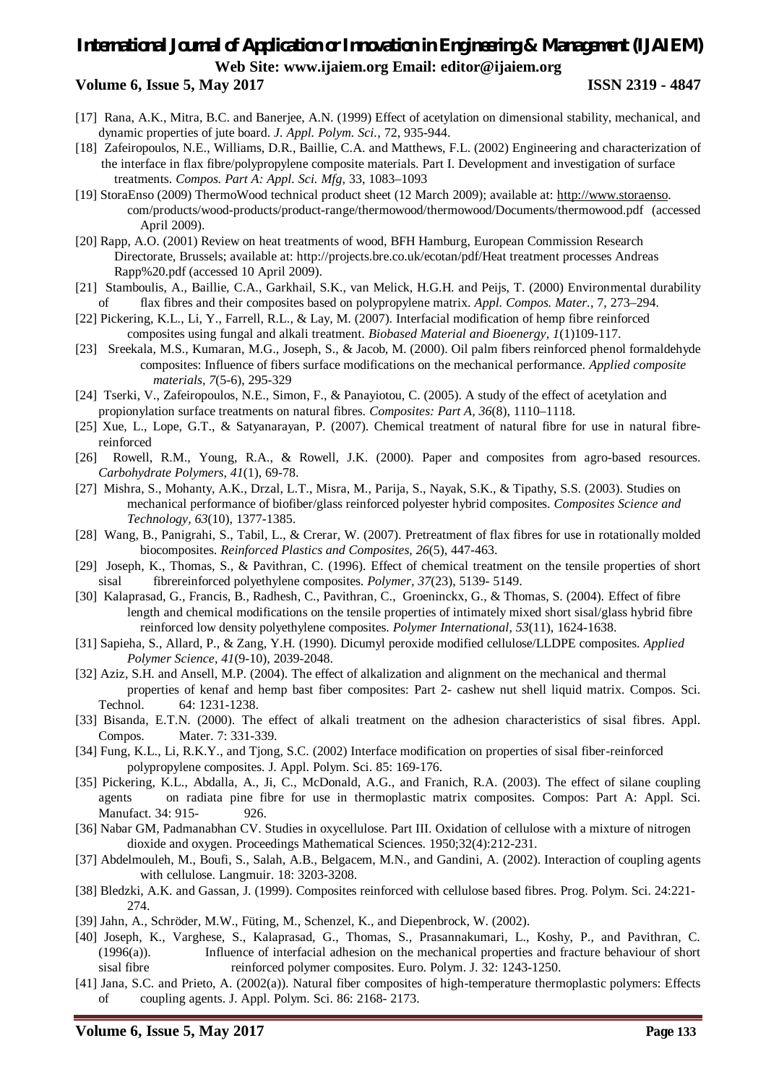# *International Journal of Application or Innovation in Engineering & Management (IJAIEM)* **Web Site: www.ijaiem.org Email: editor@ijaiem.org Volume 6, Issue 5, May 2017 ISSN 2319 - 4847**

- [17] Rana, A.K., Mitra, B.C. and Banerjee, A.N. (1999) Effect of acetylation on dimensional stability, mechanical, and dynamic properties of jute board. *J. Appl. Polym. Sci.*, 72, 935-944.
- [18] Zafeiropoulos, N.E., Williams, D.R., Baillie, C.A. and Matthews, F.L. (2002) Engineering and characterization of the interface in flax fibre/polypropylene composite materials. Part I. Development and investigation of surface treatments. *Compos. Part A: Appl. Sci. Mfg*, 33, 1083–1093
- [19] StoraEnso (2009) ThermoWood technical product sheet (12 March 2009); available at: http://www.storaenso. com/products/wood-products/product-range/thermowood/thermowood/Documents/thermowood.pdf (accessed April 2009).
- [20] Rapp, A.O. (2001) Review on heat treatments of wood, BFH Hamburg, European Commission Research Directorate, Brussels; available at: http://projects.bre.co.uk/ecotan/pdf/Heat treatment processes Andreas Rapp%20.pdf (accessed 10 April 2009).
- [21] Stamboulis, A., Baillie, C.A., Garkhail, S.K., van Melick, H.G.H. and Peijs, T. (2000) Environmental durability flax fibres and their composites based on polypropylene matrix. *Appl. Compos. Mater.*, 7, 273–294.
- [22] Pickering, K.L., Li, Y., Farrell, R.L., & Lay, M. (2007). Interfacial modification of hemp fibre reinforced composites using fungal and alkali treatment. *Biobased Material and Bioenergy, 1*(1)109-117.
- [23] Sreekala, M.S., Kumaran, M.G., Joseph, S., & Jacob, M. (2000). Oil palm fibers reinforced phenol formaldehyde composites: Influence of fibers surface modifications on the mechanical performance. *Applied composite materials, 7*(5-6), 295-329
- [24] Tserki, V., Zafeiropoulos, N.E., Simon, F., & Panayiotou, C. (2005). A study of the effect of acetylation and propionylation surface treatments on natural fibres. *Composites: Part A, 36*(8), 1110–1118.
- [25] Xue, L., Lope, G.T., & Satyanarayan, P. (2007). Chemical treatment of natural fibre for use in natural fibrereinforced
- [26] Rowell, R.M., Young, R.A., & Rowell, J.K. (2000). Paper and composites from agro-based resources. *Carbohydrate Polymers, 41*(1), 69-78.
- [27] Mishra, S., Mohanty, A.K., Drzal, L.T., Misra, M., Parija, S., Nayak, S.K., & Tipathy, S.S. (2003). Studies on mechanical performance of biofiber/glass reinforced polyester hybrid composites. *Composites Science and Technology, 63*(10), 1377-1385.
- [28] Wang, B., Panigrahi, S., Tabil, L., & Crerar, W. (2007). Pretreatment of flax fibres for use in rotationally molded biocomposites. *Reinforced Plastics and Composites, 26*(5), 447-463.
- [29] Joseph, K., Thomas, S., & Pavithran, C. (1996). Effect of chemical treatment on the tensile properties of short sisal fibrereinforced polyethylene composites. *Polymer, 37*(23), 5139- 5149.
- [30] Kalaprasad, G., Francis, B., Radhesh, C., Pavithran, C., Groeninckx, G., & Thomas, S. (2004). Effect of fibre length and chemical modifications on the tensile properties of intimately mixed short sisal/glass hybrid fibre reinforced low density polyethylene composites. *Polymer International, 53*(11), 1624-1638.
- [31] Sapieha, S., Allard, P., & Zang, Y.H. (1990). Dicumyl peroxide modified cellulose/LLDPE composites. *Applied Polymer Science, 41*(9-10), 2039-2048.
- [32] Aziz, S.H. and Ansell, M.P. (2004). The effect of alkalization and alignment on the mechanical and thermal properties of kenaf and hemp bast fiber composites: Part 2- cashew nut shell liquid matrix. Compos. Sci. Technol. 64: 1231-1238.
- [33] Bisanda, E.T.N. (2000). The effect of alkali treatment on the adhesion characteristics of sisal fibres. Appl. Compos. Mater. 7: 331-339.
- [34] Fung, K.L., Li, R.K.Y., and Tjong, S.C. (2002) Interface modification on properties of sisal fiber-reinforced polypropylene composites. J. Appl. Polym. Sci. 85: 169-176.
- [35] Pickering, K.L., Abdalla, A., Ji, C., McDonald, A.G., and Franich, R.A. (2003). The effect of silane coupling agents on radiata pine fibre for use in thermoplastic matrix composites. Compos: Part A: Appl. Sci. Manufact. 34: 915-<br>
926.
- [36] Nabar GM, Padmanabhan CV. Studies in oxycellulose. Part III. Oxidation of cellulose with a mixture of nitrogen dioxide and oxygen. Proceedings Mathematical Sciences. 1950;32(4):212-231.
- [37] Abdelmouleh, M., Boufi, S., Salah, A.B., Belgacem, M.N., and Gandini, A. (2002). Interaction of coupling agents with cellulose. Langmuir. 18: 3203-3208.
- [38] Bledzki, A.K. and Gassan, J. (1999). Composites reinforced with cellulose based fibres. Prog. Polym. Sci. 24:221- 274.
- [39] Jahn, A., Schröder, M.W., Füting, M., Schenzel, K., and Diepenbrock, W. (2002).
- [40] Joseph, K., Varghese, S., Kalaprasad, G., Thomas, S., Prasannakumari, L., Koshy, P., and Pavithran, C. (1996(a)). Influence of interfacial adhesion on the mechanical properties and fracture behaviour of short sisal fibre reinforced polymer composites. Euro. Polym. J. 32: 1243-1250.
- [41] Jana, S.C. and Prieto, A. (2002(a)). Natural fiber composites of high-temperature thermoplastic polymers: Effects of coupling agents. J. Appl. Polym. Sci. 86: 2168- 2173.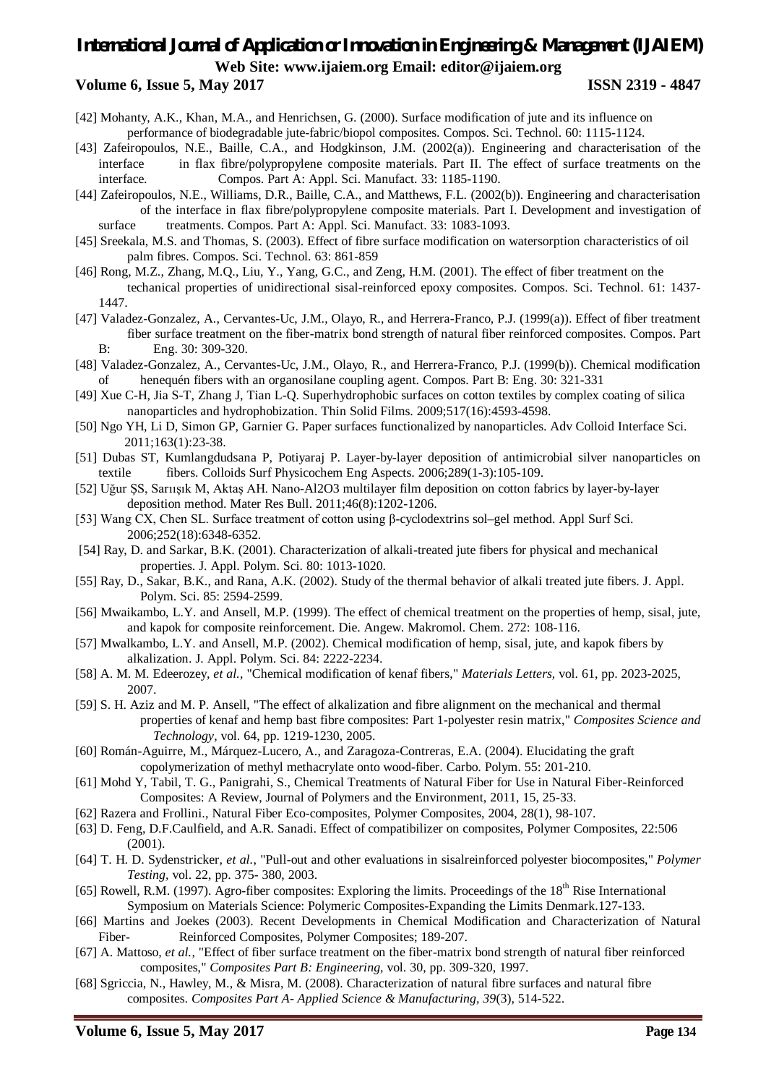## **Volume 6, Issue 5, May 2017 ISSN 2319 - 4847**

- [42] Mohanty, A.K., Khan, M.A., and Henrichsen, G. (2000). Surface modification of jute and its influence on performance of biodegradable jute-fabric/biopol composites. Compos. Sci. Technol. 60: 1115-1124.
- [43] Zafeiropoulos, N.E., Baille, C.A., and Hodgkinson, J.M. (2002(a)). Engineering and characterisation of the interface in flax fibre/polypropylene composite materials. Part II. The effect of surface treatments on the interface. Compos. Part A: Appl. Sci. Manufact. 33: 1185-1190.
- [44] Zafeiropoulos, N.E., Williams, D.R., Baille, C.A., and Matthews, F.L. (2002(b)). Engineering and characterisation of the interface in flax fibre/polypropylene composite materials. Part I. Development and investigation of surface treatments. Compos. Part A: Appl. Sci. Manufact. 33: 1083-1093.
- [45] Sreekala, M.S. and Thomas, S. (2003). Effect of fibre surface modification on watersorption characteristics of oil palm fibres. Compos. Sci. Technol. 63: 861-859
- [46] Rong, M.Z., Zhang, M.Q., Liu, Y., Yang, G.C., and Zeng, H.M. (2001). The effect of fiber treatment on the techanical properties of unidirectional sisal-reinforced epoxy composites. Compos. Sci. Technol. 61: 1437- 1447.
- [47] Valadez-Gonzalez, A., Cervantes-Uc, J.M., Olayo, R., and Herrera-Franco, P.J. (1999(a)). Effect of fiber treatment fiber surface treatment on the fiber-matrix bond strength of natural fiber reinforced composites. Compos. Part B: Eng. 30: 309-320.
- [48] Valadez-Gonzalez, A., Cervantes-Uc, J.M., Olayo, R., and Herrera-Franco, P.J. (1999(b)). Chemical modification of henequén fibers with an organosilane coupling agent. Compos. Part B: Eng. 30: 321-331
- [49] Xue C-H, Jia S-T, Zhang J, Tian L-Q. Superhydrophobic surfaces on cotton textiles by complex coating of silica nanoparticles and hydrophobization. Thin Solid Films. 2009;517(16):4593-4598.
- [50] Ngo YH, Li D, Simon GP, Garnier G. Paper surfaces functionalized by nanoparticles. Adv Colloid Interface Sci. 2011;163(1):23-38.
- [51] Dubas ST, Kumlangdudsana P, Potiyaraj P. Layer-by-layer deposition of antimicrobial silver nanoparticles on textile fibers. Colloids Surf Physicochem Eng Aspects. 2006;289(1-3):105-109.
- [52] Uğur ŞS, Sarıışık M, Aktaş AH. Nano-Al2O3 multilayer film deposition on cotton fabrics by layer-by-layer deposition method. Mater Res Bull. 2011;46(8):1202-1206.
- [53] Wang CX, Chen SL. Surface treatment of cotton using β-cyclodextrins sol–gel method. Appl Surf Sci. 2006;252(18):6348-6352.
- [54] Ray, D. and Sarkar, B.K. (2001). Characterization of alkali-treated jute fibers for physical and mechanical properties. J. Appl. Polym. Sci. 80: 1013-1020.
- [55] Ray, D., Sakar, B.K., and Rana, A.K. (2002). Study of the thermal behavior of alkali treated jute fibers. J. Appl. Polym. Sci. 85: 2594-2599.
- [56] Mwaikambo, L.Y. and Ansell, M.P. (1999). The effect of chemical treatment on the properties of hemp, sisal, jute, and kapok for composite reinforcement. Die. Angew. Makromol. Chem. 272: 108-116.
- [57] Mwalkambo, L.Y. and Ansell, M.P. (2002). Chemical modification of hemp, sisal, jute, and kapok fibers by alkalization. J. Appl. Polym. Sci. 84: 2222-2234.
- [58] A. M. M. Edeerozey*, et al.*, "Chemical modification of kenaf fibers," *Materials Letters,* vol. 61, pp. 2023-2025, 2007.
- [59] S. H. Aziz and M. P. Ansell, "The effect of alkalization and fibre alignment on the mechanical and thermal properties of kenaf and hemp bast fibre composites: Part 1-polyester resin matrix," *Composites Science and Technology,* vol. 64, pp. 1219-1230, 2005.
- [60] Román-Aguirre, M., Márquez-Lucero, A., and Zaragoza-Contreras, E.A. (2004). Elucidating the graft copolymerization of methyl methacrylate onto wood-fiber. Carbo. Polym. 55: 201-210.
- [61] Mohd Y, Tabil, T. G., Panigrahi, S., Chemical Treatments of Natural Fiber for Use in Natural Fiber-Reinforced Composites: A Review, Journal of Polymers and the Environment, 2011, 15, 25-33.
- [62] Razera and Frollini., Natural Fiber Eco-composites*,* Polymer Composites, 2004, 28(1), 98-107.
- [63] D. Feng, D.F.Caulfield, and A.R. Sanadi. Effect of compatibilizer on composites, Polymer Composites, 22:506 (2001).
- [64] T. H. D. Sydenstricker*, et al.*, "Pull-out and other evaluations in sisalreinforced polyester biocomposites," *Polymer Testing,* vol. 22, pp. 375- 380, 2003.
- [65] Rowell, R.M. (1997). Agro-fiber composites: Exploring the limits. Proceedings of the 18<sup>th</sup> Rise International Symposium on Materials Science: Polymeric Composites-Expanding the Limits Denmark.127-133.
- [66] Martins and Joekes (2003). Recent Developments in Chemical Modification and Characterization of Natural Fiber- Reinforced Composites, Polymer Composites; 189-207.
- [67] A. Mattoso*, et al.*, "Effect of fiber surface treatment on the fiber-matrix bond strength of natural fiber reinforced composites," *Composites Part B: Engineering,* vol. 30, pp. 309-320, 1997.
- [68] Sgriccia, N., Hawley, M., & Misra, M. (2008). Characterization of natural fibre surfaces and natural fibre composites. *Composites Part A- Applied Science & Manufacturing, 39*(3), 514-522.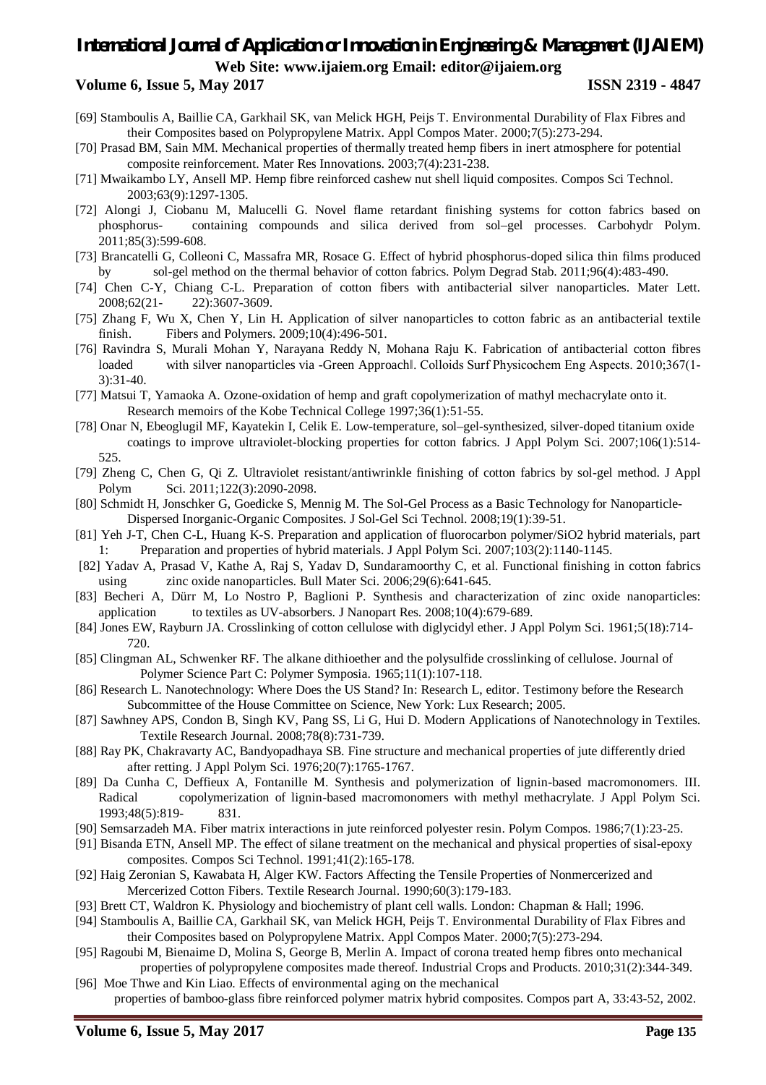# **Volume 6, Issue 5, May 2017 ISSN 2319 - 4847**

- [69] Stamboulis A, Baillie CA, Garkhail SK, van Melick HGH, Peijs T. Environmental Durability of Flax Fibres and their Composites based on Polypropylene Matrix. Appl Compos Mater. 2000;7(5):273-294.
- [70] Prasad BM, Sain MM. Mechanical properties of thermally treated hemp fibers in inert atmosphere for potential composite reinforcement. Mater Res Innovations. 2003;7(4):231-238.
- [71] Mwaikambo LY, Ansell MP. Hemp fibre reinforced cashew nut shell liquid composites. Compos Sci Technol. 2003;63(9):1297-1305.
- [72] Alongi J, Ciobanu M, Malucelli G. Novel flame retardant finishing systems for cotton fabrics based on phosphorus- containing compounds and silica derived from sol–gel processes. Carbohydr Polym. 2011;85(3):599-608.
- [73] Brancatelli G, Colleoni C, Massafra MR, Rosace G. Effect of hybrid phosphorus-doped silica thin films produced by sol-gel method on the thermal behavior of cotton fabrics. Polym Degrad Stab. 2011;96(4):483-490.
- [74] Chen C-Y, Chiang C-L. Preparation of cotton fibers with antibacterial silver nanoparticles. Mater Lett. 2008;62(21- 22):3607-3609.
- [75] Zhang F, Wu X, Chen Y, Lin H. Application of silver nanoparticles to cotton fabric as an antibacterial textile finish. Fibers and Polymers. 2009;10(4):496-501.
- [76] Ravindra S, Murali Mohan Y, Narayana Reddy N, Mohana Raju K. Fabrication of antibacterial cotton fibres loaded with silver nanoparticles via -Green Approachl. Colloids Surf Physicochem Eng Aspects. 2010;367(1-3):31-40.
- [77] Matsui T, Yamaoka A. Ozone-oxidation of hemp and graft copolymerization of mathyl mechacrylate onto it. Research memoirs of the Kobe Technical College 1997;36(1):51-55.
- [78] Onar N, Ebeoglugil MF, Kayatekin I, Celik E. Low-temperature, sol–gel-synthesized, silver-doped titanium oxide coatings to improve ultraviolet-blocking properties for cotton fabrics. J Appl Polym Sci. 2007;106(1):514- 525.
- [79] Zheng C, Chen G, Qi Z. Ultraviolet resistant/antiwrinkle finishing of cotton fabrics by sol-gel method. J Appl Polym Sci. 2011;122(3):2090-2098.
- [80] Schmidt H, Jonschker G, Goedicke S, Mennig M. The Sol-Gel Process as a Basic Technology for Nanoparticle-Dispersed Inorganic-Organic Composites. J Sol-Gel Sci Technol. 2008;19(1):39-51.
- [81] Yeh J-T, Chen C-L, Huang K-S. Preparation and application of fluorocarbon polymer/SiO2 hybrid materials, part 1: Preparation and properties of hybrid materials. J Appl Polym Sci. 2007;103(2):1140-1145.
- [82] Yadav A, Prasad V, Kathe A, Raj S, Yadav D, Sundaramoorthy C, et al. Functional finishing in cotton fabrics using zinc oxide nanoparticles. Bull Mater Sci. 2006;29(6):641-645.
- [83] Becheri A, Dürr M, Lo Nostro P, Baglioni P. Synthesis and characterization of zinc oxide nanoparticles: application to textiles as UV-absorbers. J Nanopart Res. 2008;10(4):679-689.
- [84] Jones EW, Rayburn JA. Crosslinking of cotton cellulose with diglycidyl ether. J Appl Polym Sci. 1961;5(18):714- 720.
- [85] Clingman AL, Schwenker RF. The alkane dithioether and the polysulfide crosslinking of cellulose. Journal of Polymer Science Part C: Polymer Symposia. 1965;11(1):107-118.
- [86] Research L. Nanotechnology: Where Does the US Stand? In: Research L, editor. Testimony before the Research Subcommittee of the House Committee on Science, New York: Lux Research; 2005.
- [87] Sawhney APS, Condon B, Singh KV, Pang SS, Li G, Hui D. Modern Applications of Nanotechnology in Textiles. Textile Research Journal. 2008;78(8):731-739.
- [88] Ray PK, Chakravarty AC, Bandyopadhaya SB. Fine structure and mechanical properties of jute differently dried after retting. J Appl Polym Sci. 1976;20(7):1765-1767.
- [89] Da Cunha C, Deffieux A, Fontanille M. Synthesis and polymerization of lignin-based macromonomers. III. Radical copolymerization of lignin-based macromonomers with methyl methacrylate. J Appl Polym Sci. 1993;48(5):819- 831.
- [90] Semsarzadeh MA. Fiber matrix interactions in jute reinforced polyester resin. Polym Compos. 1986;7(1):23-25.
- [91] Bisanda ETN, Ansell MP. The effect of silane treatment on the mechanical and physical properties of sisal-epoxy composites. Compos Sci Technol. 1991;41(2):165-178.
- [92] Haig Zeronian S, Kawabata H, Alger KW. Factors Affecting the Tensile Properties of Nonmercerized and Mercerized Cotton Fibers. Textile Research Journal. 1990;60(3):179-183.
- [93] Brett CT, Waldron K. Physiology and biochemistry of plant cell walls. London: Chapman & Hall; 1996.
- [94] Stamboulis A, Baillie CA, Garkhail SK, van Melick HGH, Peijs T. Environmental Durability of Flax Fibres and their Composites based on Polypropylene Matrix. Appl Compos Mater. 2000;7(5):273-294.
- [95] Ragoubi M, Bienaime D, Molina S, George B, Merlin A. Impact of corona treated hemp fibres onto mechanical properties of polypropylene composites made thereof. Industrial Crops and Products. 2010;31(2):344-349.
- [96] Moe Thwe and Kin Liao. Effects of environmental aging on the mechanical properties of bamboo-glass fibre reinforced polymer matrix hybrid composites. Compos part A, 33:43-52, 2002.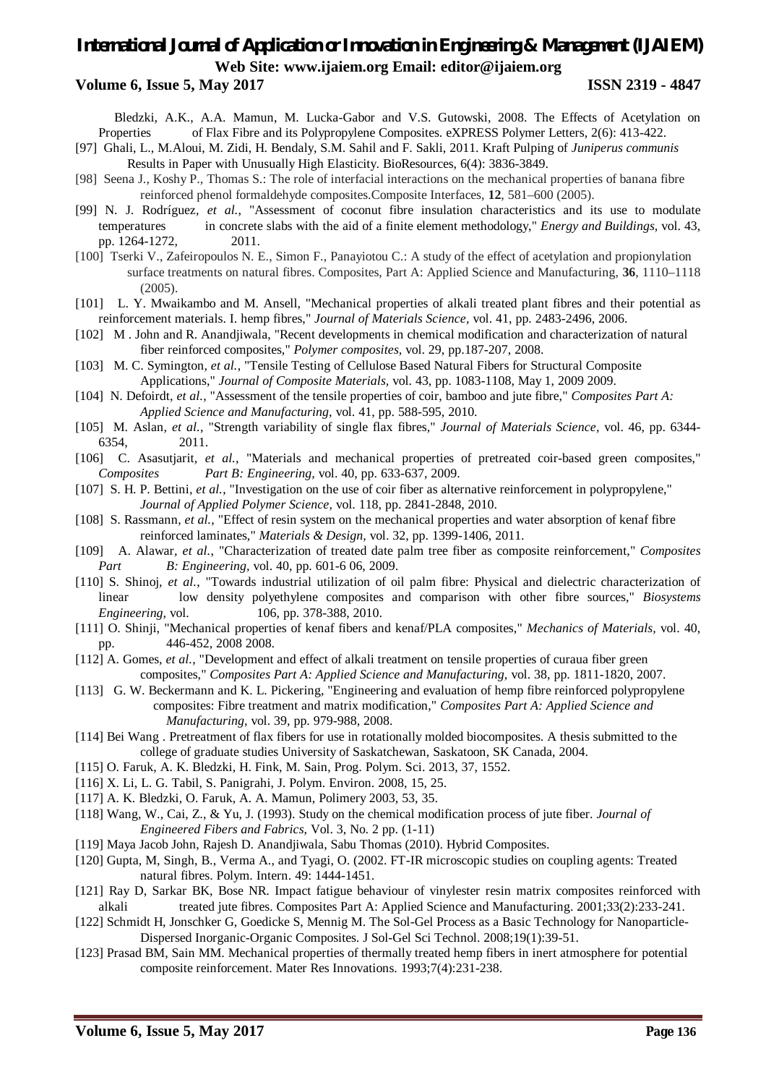### **Volume 6, Issue 5, May 2017 ISSN 2319 - 4847**

Bledzki, A.K., A.A. Mamun, M. Lucka-Gabor and V.S. Gutowski, 2008. The Effects of Acetylation on Properties of Flax Fibre and its Polypropylene Composites. eXPRESS Polymer Letters, 2(6): 413-422.

- [97] Ghali, L., M.Aloui, M. Zidi, H. Bendaly, S.M. Sahil and F. Sakli, 2011. Kraft Pulping of *Juniperus communis*  Results in Paper with Unusually High Elasticity. BioResources, 6(4): 3836-3849.
- [98] Seena J., Koshy P., Thomas S.: The role of interfacial interactions on the mechanical properties of banana fibre reinforced phenol formaldehyde composites.Composite Interfaces, **12**, 581–600 (2005).
- [99] N. J. Rodríguez*, et al.*, "Assessment of coconut fibre insulation characteristics and its use to modulate temperatures in concrete slabs with the aid of a finite element methodology," *Energy and Buildings,* vol. 43, pp. 1264-1272, 2011.
- [100] Tserki V., Zafeiropoulos N. E., Simon F., Panayiotou C.: A study of the effect of acetylation and propionylation surface treatments on natural fibres. Composites, Part A: Applied Science and Manufacturing, **36**, 1110–1118 (2005).
- [101] L. Y. Mwaikambo and M. Ansell, "Mechanical properties of alkali treated plant fibres and their potential as reinforcement materials. I. hemp fibres," *Journal of Materials Science,* vol. 41, pp. 2483-2496, 2006.
- [102] M . John and R. Anandjiwala, "Recent developments in chemical modification and characterization of natural fiber reinforced composites," *Polymer composites,* vol. 29, pp.187-207, 2008.
- [103] M. C. Symington*, et al.*, "Tensile Testing of Cellulose Based Natural Fibers for Structural Composite Applications," *Journal of Composite Materials,* vol. 43, pp. 1083-1108, May 1, 2009 2009.
- [104] N. Defoirdt*, et al.*, "Assessment of the tensile properties of coir, bamboo and jute fibre," *Composites Part A: Applied Science and Manufacturing,* vol. 41, pp. 588-595, 2010.
- [105] M. Aslan*, et al.*, "Strength variability of single flax fibres," *Journal of Materials Science,* vol. 46, pp. 6344- 6354, 2011.
- [106] C. Asasutjarit*, et al.*, "Materials and mechanical properties of pretreated coir-based green composites," *Composites Part B: Engineering,* vol. 40, pp. 633-637, 2009.
- [107] S. H. P. Bettini*, et al.*, "Investigation on the use of coir fiber as alternative reinforcement in polypropylene," *Journal of Applied Polymer Science,* vol. 118, pp. 2841-2848, 2010.
- [108] S. Rassmann*, et al.*, "Effect of resin system on the mechanical properties and water absorption of kenaf fibre reinforced laminates," *Materials & Design,* vol. 32, pp. 1399-1406, 2011.
- [109] A. Alawar*, et al.*, "Characterization of treated date palm tree fiber as composite reinforcement," *Composites Part B: Engineering,* vol. 40, pp. 601-6 06, 2009.
- [110] S. Shinoj*, et al.*, "Towards industrial utilization of oil palm fibre: Physical and dielectric characterization of linear low density polyethylene composites and comparison with other fibre sources," *Biosystems Engineering,* vol. 106, pp. 378-388, 2010.
- [111] O. Shinji, "Mechanical properties of kenaf fibers and kenaf/PLA composites," *Mechanics of Materials,* vol. 40, pp. 446-452, 2008 2008.
- [112] A. Gomes*, et al.*, "Development and effect of alkali treatment on tensile properties of curaua fiber green composites," *Composites Part A: Applied Science and Manufacturing,* vol. 38, pp. 1811-1820, 2007.
- [113] G. W. Beckermann and K. L. Pickering, "Engineering and evaluation of hemp fibre reinforced polypropylene composites: Fibre treatment and matrix modification," *Composites Part A: Applied Science and Manufacturing,* vol. 39, pp. 979-988, 2008.
- [114] Bei Wang . Pretreatment of flax fibers for use in rotationally molded biocomposites. A thesis submitted to the college of graduate studies University of Saskatchewan, Saskatoon, SK Canada, 2004.
- [115] O. Faruk, A. K. Bledzki, H. Fink, M. Sain, Prog. Polym. Sci. 2013, 37, 1552.
- [116] X. Li, L. G. Tabil, S. Panigrahi, J. Polym. Environ. 2008, 15, 25.
- [117] A. K. Bledzki, O. Faruk, A. A. Mamun, Polimery 2003, 53, 35.
- [118] Wang, W., Cai, Z., & Yu, J. (1993). Study on the chemical modification process of jute fiber. *Journal of Engineered Fibers and Fabrics*, Vol. 3, No. 2 pp. (1-11)
- [119] Maya Jacob John, Rajesh D. Anandjiwala, Sabu Thomas (2010). Hybrid Composites.
- [120] Gupta, M, Singh, B., Verma A., and Tyagi, O. (2002. FT-IR microscopic studies on coupling agents: Treated natural fibres. Polym. Intern. 49: 1444-1451.
- [121] Ray D, Sarkar BK, Bose NR. Impact fatigue behaviour of vinylester resin matrix composites reinforced with alkali treated jute fibres. Composites Part A: Applied Science and Manufacturing. 2001;33(2):233-241.
- [122] Schmidt H, Jonschker G, Goedicke S, Mennig M. The Sol-Gel Process as a Basic Technology for Nanoparticle-Dispersed Inorganic-Organic Composites. J Sol-Gel Sci Technol. 2008;19(1):39-51.
- [123] Prasad BM, Sain MM. Mechanical properties of thermally treated hemp fibers in inert atmosphere for potential composite reinforcement. Mater Res Innovations. 1993;7(4):231-238.